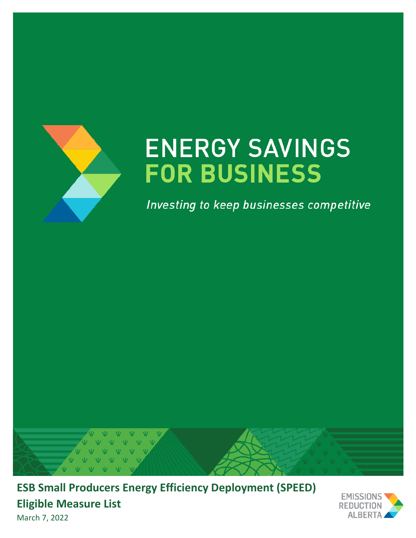<span id="page-0-0"></span>

# **ENERGY SAVINGS FOR BUSINESS**

Investing to keep businesses competitive



**ESB Small Producers Energy Efficiency Deployment (SPEED) Eligible Measure List**



March 7, 2022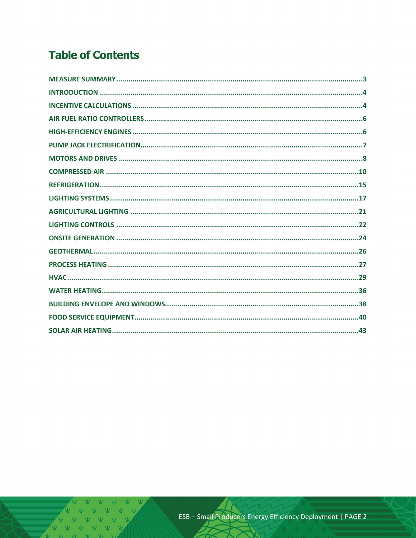# **Table of Contents**

V V V V V V V V V  $V - V$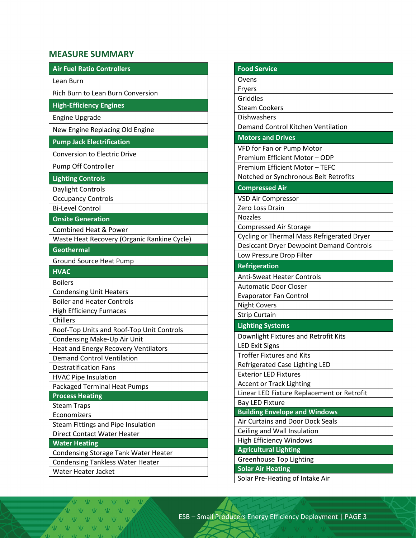# <span id="page-2-0"></span>**MEASURE SUMMARY**

| <b>Air Fuel Ratio Controllers</b>                                                      |
|----------------------------------------------------------------------------------------|
| Lean Burn                                                                              |
| Rich Burn to Lean Burn Conversion                                                      |
| <b>High-Efficiency Engines</b>                                                         |
| <b>Engine Upgrade</b>                                                                  |
| New Engine Replacing Old Engine                                                        |
| <b>Pump Jack Electrification</b>                                                       |
| <b>Conversion to Electric Drive</b>                                                    |
| Pump Off Controller                                                                    |
| <b>Lighting Controls</b>                                                               |
| Daylight Controls                                                                      |
| <b>Occupancy Controls</b>                                                              |
| <b>Bi-Level Control</b>                                                                |
| <b>Onsite Generation</b>                                                               |
| <b>Combined Heat &amp; Power</b>                                                       |
| Waste Heat Recovery (Organic Rankine Cycle)                                            |
| <b>Geothermal</b>                                                                      |
| <b>Ground Source Heat Pump</b>                                                         |
| <b>HVAC</b>                                                                            |
|                                                                                        |
| <b>Boilers</b>                                                                         |
| <b>Condensing Unit Heaters</b>                                                         |
| <b>Boiler and Heater Controls</b>                                                      |
| <b>High Efficiency Furnaces</b>                                                        |
| Chillers                                                                               |
| Roof-Top Units and Roof-Top Unit Controls                                              |
| Condensing Make-Up Air Unit                                                            |
| Heat and Energy Recovery Ventilators                                                   |
| <b>Demand Control Ventilation</b>                                                      |
| <b>Destratification Fans</b>                                                           |
| <b>HVAC Pipe Insulation</b>                                                            |
| <b>Packaged Terminal Heat Pumps</b>                                                    |
| <b>Process Heating</b>                                                                 |
| <b>Steam Traps</b>                                                                     |
| Economizers                                                                            |
| Steam Fittings and Pipe Insulation                                                     |
| Direct Contact Water Heater                                                            |
| <b>Water Heating</b>                                                                   |
| <b>Condensing Storage Tank Water Heater</b><br><b>Condensing Tankless Water Heater</b> |

| <b>Food Service</b>                             |
|-------------------------------------------------|
| Ovens                                           |
| <b>Fryers</b>                                   |
| Griddles                                        |
| <b>Steam Cookers</b>                            |
| Dishwashers                                     |
| Demand Control Kitchen Ventilation              |
| <b>Motors and Drives</b>                        |
| VFD for Fan or Pump Motor                       |
| Premium Efficient Motor - ODP                   |
| Premium Efficient Motor - TEFC                  |
| Notched or Synchronous Belt Retrofits           |
| <b>Compressed Air</b>                           |
| <b>VSD Air Compressor</b>                       |
| Zero Loss Drain                                 |
| <b>Nozzles</b>                                  |
| <b>Compressed Air Storage</b>                   |
| Cycling or Thermal Mass Refrigerated Dryer      |
| <b>Desiccant Dryer Dewpoint Demand Controls</b> |
| Low Pressure Drop Filter                        |
| <b>Refrigeration</b>                            |
| <b>Anti-Sweat Heater Controls</b>               |
| <b>Automatic Door Closer</b>                    |
| <b>Evaporator Fan Control</b>                   |
| <b>Night Covers</b>                             |
| <b>Strip Curtain</b>                            |
| <b>Lighting Systems</b>                         |
| Downlight Fixtures and Retrofit Kits            |
| <b>LED Exit Signs</b>                           |
| <b>Troffer Fixtures and Kits</b>                |
| Refrigerated Case Lighting LED                  |
| <b>Exterior LED Fixtures</b>                    |
| <b>Accent or Track Lighting</b>                 |
| Linear LED Fixture Replacement or Retrofit      |
| <b>Bay LED Fixture</b>                          |
| <b>Building Envelope and Windows</b>            |
| Air Curtains and Door Dock Seals                |
| Ceiling and Wall Insulation                     |
| <b>High Efficiency Windows</b>                  |
| <b>Agricultural Lighting</b>                    |
| <b>Greenhouse Top Lighting</b>                  |
| <b>Solar Air Heating</b>                        |
| Solar Pre-Heating of Intake Air                 |

**NV NV NV NV**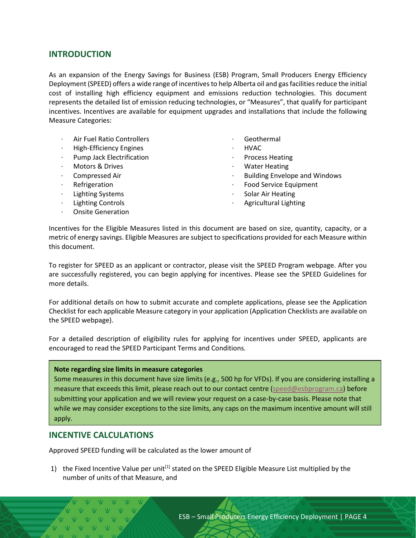#### <span id="page-3-0"></span>**INTRODUCTION**

As an expansion of the Energy Savings for Business (ESB) Program, Small Producers Energy Efficiency Deployment (SPEED) offers a wide range of incentives to help Alberta oil and gas facilities reduce the initial cost of installing high efficiency equipment and emissions reduction technologies. This document represents the detailed list of emission reducing technologies, or "Measures", that qualify for participant incentives. Incentives are available for equipment upgrades and installations that include the following Measure Categories:

- · Air Fuel Ratio Controllers
- · High-Efficiency Engines
- Pump Jack Electrification
- · Motors & Drives
- Compressed Air
- · Refrigeration
- **Lighting Systems**
- **Lighting Controls**
- · Onsite Generation
- Geothermal
- · HVAC
- Process Heating
- · Water Heating
- **Building Envelope and Windows**
- Food Service Equipment
- Solar Air Heating
- Agricultural Lighting

Incentives for the Eligible Measures listed in this document are based on size, quantity, capacity, or a metric of energy savings. Eligible Measures are subject to specifications provided for each Measure within this document.

To register for SPEED as an applicant or contractor, please visit the SPEED Program webpage. After you are successfully registered, you can begin applying for incentives. Please see the SPEED Guidelines for more details.

For additional details on how to submit accurate and complete applications, please see the Application Checklist for each applicable Measure category in your application (Application Checklists are available on the SPEED webpage).

For a detailed description of eligibility rules for applying for incentives under SPEED, applicants are encouraged to read the SPEED Participant Terms and Conditions.

#### <span id="page-3-2"></span>**Note regarding size limits in measure categories**

Some measures in this document have size limits (e.g., 500 hp for VFDs). If you are considering installing a measure that exceeds this limit, please reach out to our contact centre [\(speed@esbprogram.ca\)](mailto:speed@esbprogram.ca) before submitting your application and we will review your request on a case-by-case basis. Please note that while we may consider exceptions to the size limits, any caps on the maximum incentive amount will still apply.

#### <span id="page-3-1"></span>**INCENTIVE CALCULATIONS**

 $V = VV - VV - VV$ 

Approved SPEED funding will be calculated as the lower amount of

1) the Fixed Incentive Value per unit<sup>[1]</sup> stated on the SPEED Eligible Measure List multiplied by the number of units of that Measure, and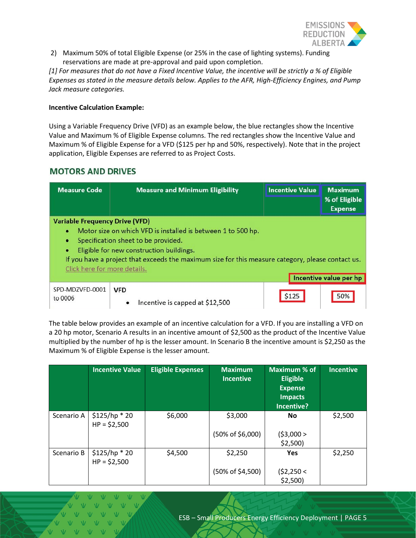

2) Maximum 50% of total Eligible Expense (or 25% in the case of lighting systems). Funding reservations are made at pre-approval and paid upon completion.

*[1] For measures that do not have a Fixed Incentive Value, the incentive will be strictly a % of Eligible Expenses as stated in the measure details below. Applies to the AFR, High-Efficiency Engines, and Pump Jack measure categories.*

#### **Incentive Calculation Example:**

Using a Variable Frequency Drive (VFD) as an example below, the blue rectangles show the Incentive Value and Maximum % of Eligible Expense columns. The red rectangles show the Incentive Value and Maximum % of Eligible Expense for a VFD (\$125 per hp and 50%, respectively). Note that in the project application, Eligible Expenses are referred to as Project Costs.

## **MOTORS AND DRIVES**

| <b>Measure Code</b>                                                                                                                                                                                                                                                                                                                                                            | <b>Measure and Minimum Eligibility</b>                     | <b>Incentive Value</b> | <b>Maximum</b><br>% of Eligible<br><b>Expense</b> |  |  |
|--------------------------------------------------------------------------------------------------------------------------------------------------------------------------------------------------------------------------------------------------------------------------------------------------------------------------------------------------------------------------------|------------------------------------------------------------|------------------------|---------------------------------------------------|--|--|
| <b>Variable Frequency Drive (VFD)</b><br>Motor size on which VFD is installed is between 1 to 500 hp.<br>٠<br>Specification sheet to be provided.<br>٠<br>Eligible for new construction buildings.<br>$\bullet$<br>If you have a project that exceeds the maximum size for this measure category, please contact us.<br>Click here for more details.<br>Incentive value per hp |                                                            |                        |                                                   |  |  |
| SPD-MDZVFD-0001<br>to 0006                                                                                                                                                                                                                                                                                                                                                     | <b>VFD</b><br>Incentive is capped at \$12,500<br>$\bullet$ | \$125                  | 50%                                               |  |  |

The table below provides an example of an incentive calculation for a VFD. If you are installing a VFD on a 20 hp motor, Scenario A results in an incentive amount of \$2,500 as the product of the Incentive Value multiplied by the number of hp is the lesser amount. In Scenario B the incentive amount is \$2,250 as the Maximum % of Eligible Expense is the lesser amount.

|            | <b>Incentive Value</b>          | <b>Eligible Expenses</b> | <b>Maximum</b><br><b>Incentive</b> | Maximum % of<br><b>Eligible</b><br><b>Expense</b><br><b>Impacts</b><br>Incentive? | <b>Incentive</b> |
|------------|---------------------------------|--------------------------|------------------------------------|-----------------------------------------------------------------------------------|------------------|
| Scenario A | $$125/hp * 20$<br>$HP = $2,500$ | \$6,000                  | \$3,000                            | No                                                                                | \$2,500          |
|            |                                 |                          | $(50\% \text{ of } $6,000)$        | (53,000 ><br>$$2,500$ )                                                           |                  |
| Scenario B | $$125/hp * 20$<br>$HP = $2,500$ | \$4,500                  | \$2,250                            | <b>Yes</b>                                                                        | \$2,250          |
|            |                                 |                          | $(50\% \text{ of } $4,500)$        | (52,250 <<br>$$2,500$ )                                                           |                  |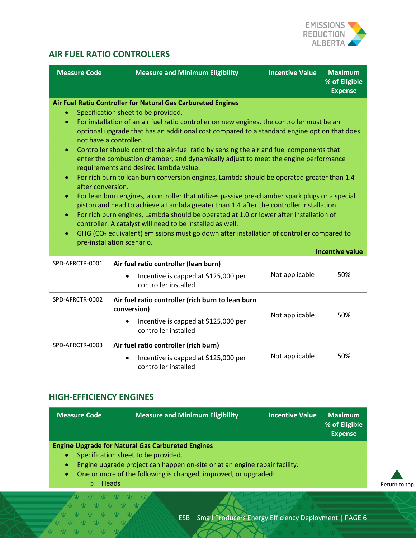

# <span id="page-5-0"></span>**AIR FUEL RATIO CONTROLLERS**

| <b>Measure Code</b>                                                                                                                                                                                                                                                                                                                                                                                                                                                                                                                                                                                                                                                                                                                                                                                                                                                                                                                                                                                                                                                                                                                                                                                         | <b>Measure and Minimum Eligibility</b>                                                                                           | <b>Incentive Value</b> | <b>Maximum</b><br>% of Eligible<br><b>Expense</b> |  |
|-------------------------------------------------------------------------------------------------------------------------------------------------------------------------------------------------------------------------------------------------------------------------------------------------------------------------------------------------------------------------------------------------------------------------------------------------------------------------------------------------------------------------------------------------------------------------------------------------------------------------------------------------------------------------------------------------------------------------------------------------------------------------------------------------------------------------------------------------------------------------------------------------------------------------------------------------------------------------------------------------------------------------------------------------------------------------------------------------------------------------------------------------------------------------------------------------------------|----------------------------------------------------------------------------------------------------------------------------------|------------------------|---------------------------------------------------|--|
| Air Fuel Ratio Controller for Natural Gas Carbureted Engines<br>Specification sheet to be provided.<br>۰<br>For installation of an air fuel ratio controller on new engines, the controller must be an<br>optional upgrade that has an additional cost compared to a standard engine option that does<br>not have a controller.<br>Controller should control the air-fuel ratio by sensing the air and fuel components that<br>$\bullet$<br>enter the combustion chamber, and dynamically adjust to meet the engine performance<br>requirements and desired lambda value.<br>For rich burn to lean burn conversion engines, Lambda should be operated greater than 1.4<br>$\bullet$<br>after conversion.<br>For lean burn engines, a controller that utilizes passive pre-chamber spark plugs or a special<br>$\bullet$<br>piston and head to achieve a Lambda greater than 1.4 after the controller installation.<br>For rich burn engines, Lambda should be operated at 1.0 or lower after installation of<br>$\bullet$<br>controller. A catalyst will need to be installed as well.<br>GHG (CO <sub>2</sub> equivalent) emissions must go down after installation of controller compared to<br>$\bullet$ |                                                                                                                                  |                        |                                                   |  |
| SPD-AFRCTR-0001                                                                                                                                                                                                                                                                                                                                                                                                                                                                                                                                                                                                                                                                                                                                                                                                                                                                                                                                                                                                                                                                                                                                                                                             | Air fuel ratio controller (lean burn)<br>Incentive is capped at \$125,000 per<br>$\bullet$<br>controller installed               | Not applicable         | 50%                                               |  |
| SPD-AFRCTR-0002                                                                                                                                                                                                                                                                                                                                                                                                                                                                                                                                                                                                                                                                                                                                                                                                                                                                                                                                                                                                                                                                                                                                                                                             | Air fuel ratio controller (rich burn to lean burn<br>conversion)<br>Incentive is capped at \$125,000 per<br>controller installed | Not applicable         | 50%                                               |  |
| SPD-AFRCTR-0003                                                                                                                                                                                                                                                                                                                                                                                                                                                                                                                                                                                                                                                                                                                                                                                                                                                                                                                                                                                                                                                                                                                                                                                             | Air fuel ratio controller (rich burn)<br>Incentive is capped at \$125,000 per<br>controller installed                            | Not applicable         | 50%                                               |  |

### <span id="page-5-1"></span>**HIGH-EFFICIENCY ENGINES**

V V V V V V VVVVV

|                         | <b>Measure and Minimum Eligibility</b>                                     | <b>Incentive Value</b> | <b>Maximum</b><br>% of Eligible<br><b>Expense</b> |
|-------------------------|----------------------------------------------------------------------------|------------------------|---------------------------------------------------|
|                         | <b>Engine Upgrade for Natural Gas Carbureted Engines</b>                   |                        |                                                   |
| $\bullet$               | Specification sheet to be provided.                                        |                        |                                                   |
| $\bullet$               | Engine upgrade project can happen on-site or at an engine repair facility. |                        |                                                   |
| $\bullet$               | One or more of the following is changed, improved, or upgraded:            |                        |                                                   |
| <b>Heads</b><br>$\circ$ |                                                                            |                        |                                                   |

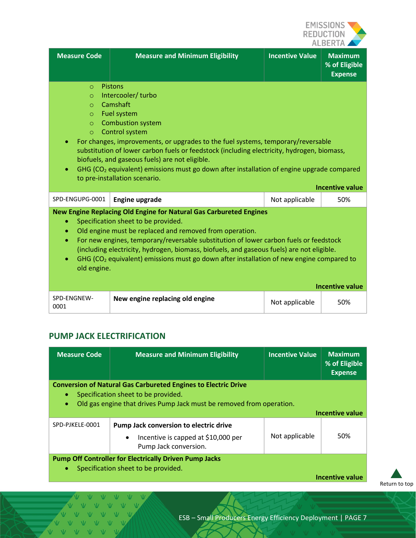

| <b>Measure Code</b>                                                                                                                                                                                                                                                                                                                                                                                                                                                                                                                                                                                        | <b>Measure and Minimum Eligibility</b> | <b>Incentive Value</b> | <b>Maximum</b><br>% of Eligible<br><b>Expense</b> |  |
|------------------------------------------------------------------------------------------------------------------------------------------------------------------------------------------------------------------------------------------------------------------------------------------------------------------------------------------------------------------------------------------------------------------------------------------------------------------------------------------------------------------------------------------------------------------------------------------------------------|----------------------------------------|------------------------|---------------------------------------------------|--|
| <b>Pistons</b><br>$\circ$<br>Intercooler/turbo<br>$\circ$<br>Camshaft<br>$\circ$<br><b>Fuel system</b><br>$\circ$<br><b>Combustion system</b><br>$\circ$<br>Control system<br>$\circ$<br>For changes, improvements, or upgrades to the fuel systems, temporary/reversable<br>substitution of lower carbon fuels or feedstock (including electricity, hydrogen, biomass,<br>biofuels, and gaseous fuels) are not eligible.<br>GHG (CO <sub>2</sub> equivalent) emissions must go down after installation of engine upgrade compared<br>$\bullet$<br>to pre-installation scenario.<br><b>Incentive value</b> |                                        |                        |                                                   |  |
| SPD-ENGUPG-0001                                                                                                                                                                                                                                                                                                                                                                                                                                                                                                                                                                                            | <b>Engine upgrade</b>                  | Not applicable         | 50%                                               |  |
| <b>New Engine Replacing Old Engine for Natural Gas Carbureted Engines</b><br>Specification sheet to be provided.<br>$\bullet$<br>Old engine must be replaced and removed from operation.<br>For new engines, temporary/reversable substitution of lower carbon fuels or feedstock<br>$\bullet$<br>(including electricity, hydrogen, biomass, biofuels, and gaseous fuels) are not eligible.<br>GHG (CO <sub>2</sub> equivalent) emissions must go down after installation of new engine compared to<br>old engine.<br><b>Incentive value</b>                                                               |                                        |                        |                                                   |  |
| SPD-ENGNEW-<br>0001                                                                                                                                                                                                                                                                                                                                                                                                                                                                                                                                                                                        | New engine replacing old engine        | Not applicable         | 50%                                               |  |

# <span id="page-6-0"></span>**PUMP JACK ELECTRIFICATION**

|                                                               | <b>Incentive Value</b>                                                                                                                                                                                                    | <b>Maximum</b><br>% of Eligible<br><b>Expense</b>                    |  |  |
|---------------------------------------------------------------|---------------------------------------------------------------------------------------------------------------------------------------------------------------------------------------------------------------------------|----------------------------------------------------------------------|--|--|
|                                                               |                                                                                                                                                                                                                           |                                                                      |  |  |
|                                                               |                                                                                                                                                                                                                           |                                                                      |  |  |
|                                                               |                                                                                                                                                                                                                           | <b>Incentive value</b>                                               |  |  |
|                                                               |                                                                                                                                                                                                                           |                                                                      |  |  |
|                                                               | Not applicable                                                                                                                                                                                                            | 50%                                                                  |  |  |
| <b>Pump Off Controller for Electrically Driven Pump Jacks</b> |                                                                                                                                                                                                                           |                                                                      |  |  |
|                                                               |                                                                                                                                                                                                                           | Incentive value                                                      |  |  |
|                                                               | <b>Measure and Minimum Eligibility</b><br><b>Conversion of Natural Gas Carbureted Engines to Electric Drive</b><br>Pump Jack conversion to electric drive<br>Incentive is capped at \$10,000 per<br>Pump Jack conversion. | Old gas engine that drives Pump Jack must be removed from operation. |  |  |

[Return to](#page-0-0) top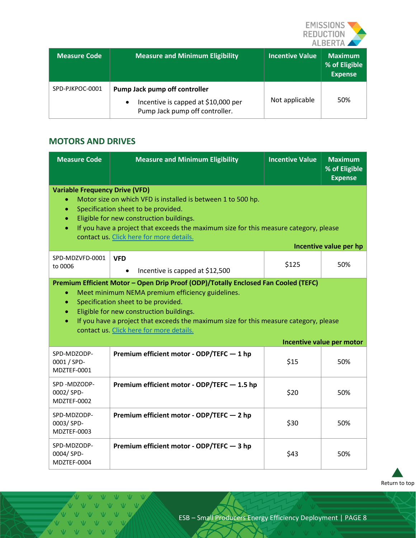

| <b>Measure Code</b> | <b>Measure and Minimum Eligibility</b>                                                                              | <b>Incentive Value</b> | <b>Maximum</b><br>% of Eligible<br><b>Expense</b> |
|---------------------|---------------------------------------------------------------------------------------------------------------------|------------------------|---------------------------------------------------|
| SPD-PJKPOC-0001     | Pump Jack pump off controller<br>Incentive is capped at \$10,000 per<br>$\bullet$<br>Pump Jack pump off controller. | Not applicable         | 50%                                               |

## <span id="page-7-0"></span>**MOTORS AND DRIVES**

| <b>Measure Code</b>                                                                                                                                                                                                                                                                                                                                                                   | <b>Measure and Minimum Eligibility</b>      | <b>Incentive Value</b> | <b>Maximum</b><br>% of Eligible<br><b>Expense</b> |  |  |
|---------------------------------------------------------------------------------------------------------------------------------------------------------------------------------------------------------------------------------------------------------------------------------------------------------------------------------------------------------------------------------------|---------------------------------------------|------------------------|---------------------------------------------------|--|--|
| <b>Variable Frequency Drive (VFD)</b><br>Motor size on which VFD is installed is between 1 to 500 hp.<br>۰<br>Specification sheet to be provided.<br>$\bullet$<br>Eligible for new construction buildings.<br>$\bullet$<br>If you have a project that exceeds the maximum size for this measure category, please<br>$\bullet$<br>contact us. Click here for more details.             |                                             |                        |                                                   |  |  |
| SPD-MDZVFD-0001                                                                                                                                                                                                                                                                                                                                                                       | <b>VFD</b>                                  |                        | Incentive value per hp                            |  |  |
| to 0006                                                                                                                                                                                                                                                                                                                                                                               | Incentive is capped at \$12,500             | \$125                  | 50%                                               |  |  |
| Premium Efficient Motor - Open Drip Proof (ODP)/Totally Enclosed Fan Cooled (TEFC)<br>Meet minimum NEMA premium efficiency guidelines.<br>۰<br>Specification sheet to be provided.<br>۰<br>Eligible for new construction buildings.<br>If you have a project that exceeds the maximum size for this measure category, please<br>$\bullet$<br>contact us. Click here for more details. |                                             |                        |                                                   |  |  |
| SPD-MDZODP-                                                                                                                                                                                                                                                                                                                                                                           | Premium efficient motor - ODP/TEFC - 1 hp   |                        | Incentive value per motor                         |  |  |
| 0001 / SPD-<br>MDZTEF-0001                                                                                                                                                                                                                                                                                                                                                            |                                             | \$15                   | 50%                                               |  |  |
| SPD-MDZODP-<br>0002/SPD-<br>MDZTEF-0002                                                                                                                                                                                                                                                                                                                                               | Premium efficient motor - ODP/TEFC - 1.5 hp | \$20                   | 50%                                               |  |  |
| SPD-MDZODP-<br>0003/SPD-<br>MDZTEF-0003                                                                                                                                                                                                                                                                                                                                               | Premium efficient motor - ODP/TEFC - 2 hp   | \$30                   | 50%                                               |  |  |
| SPD-MDZODP-<br>0004/SPD-<br>MDZTEF-0004                                                                                                                                                                                                                                                                                                                                               | Premium efficient motor - ODP/TEFC - 3 hp   | \$43                   | 50%                                               |  |  |



V V V V V VVVV V V V V VVVV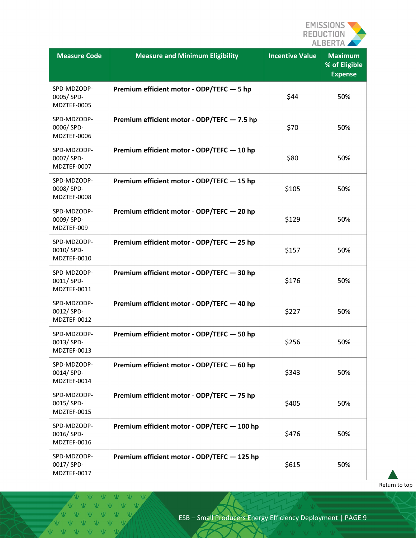

| <b>Measure Code</b>                     | <b>Measure and Minimum Eligibility</b>      | <b>Incentive Value</b> | <b>Maximum</b><br>% of Eligible<br><b>Expense</b> |
|-----------------------------------------|---------------------------------------------|------------------------|---------------------------------------------------|
| SPD-MDZODP-<br>0005/SPD-<br>MDZTEF-0005 | Premium efficient motor - ODP/TEFC - 5 hp   | \$44                   | 50%                                               |
| SPD-MDZODP-<br>0006/SPD-<br>MDZTEF-0006 | Premium efficient motor - ODP/TEFC - 7.5 hp | \$70                   | 50%                                               |
| SPD-MDZODP-<br>0007/SPD-<br>MDZTEF-0007 | Premium efficient motor - ODP/TEFC - 10 hp  | \$80                   | 50%                                               |
| SPD-MDZODP-<br>0008/SPD-<br>MDZTEF-0008 | Premium efficient motor - ODP/TEFC - 15 hp  | \$105                  | 50%                                               |
| SPD-MDZODP-<br>0009/SPD-<br>MDZTEF-009  | Premium efficient motor - ODP/TEFC - 20 hp  | \$129                  | 50%                                               |
| SPD-MDZODP-<br>0010/SPD-<br>MDZTEF-0010 | Premium efficient motor - ODP/TEFC - 25 hp  | \$157                  | 50%                                               |
| SPD-MDZODP-<br>0011/SPD-<br>MDZTEF-0011 | Premium efficient motor - ODP/TEFC - 30 hp  | \$176                  | 50%                                               |
| SPD-MDZODP-<br>0012/SPD-<br>MDZTEF-0012 | Premium efficient motor - ODP/TEFC - 40 hp  | \$227                  | 50%                                               |
| SPD-MDZODP-<br>0013/SPD-<br>MDZTEF-0013 | Premium efficient motor - ODP/TEFC - 50 hp  | \$256                  | 50%                                               |
| SPD-MDZODP-<br>0014/SPD-<br>MDZTEF-0014 | Premium efficient motor - ODP/TEFC - 60 hp  | \$343                  | 50%                                               |
| SPD-MDZODP-<br>0015/SPD-<br>MDZTEF-0015 | Premium efficient motor - ODP/TEFC - 75 hp  | \$405                  | 50%                                               |
| SPD-MDZODP-<br>0016/SPD-<br>MDZTEF-0016 | Premium efficient motor - ODP/TEFC - 100 hp | \$476                  | 50%                                               |
| SPD-MDZODP-<br>0017/SPD-<br>MDZTEF-0017 | Premium efficient motor - ODP/TEFC - 125 hp | \$615                  | 50%                                               |

[Return to](#page-0-0) top

V V V V V VVVVVV VVVVVV VVVVVV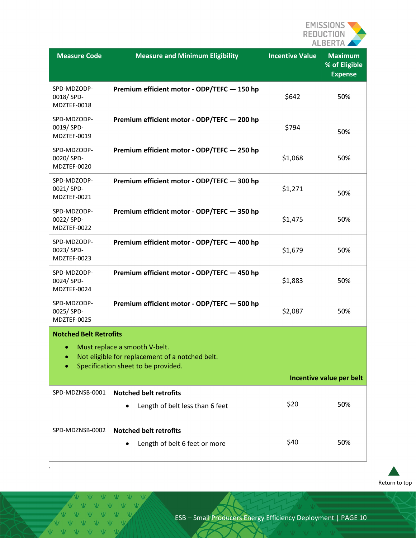

| <b>Measure Code</b>                                                                                                                                                                               | <b>Measure and Minimum Eligibility</b>      | <b>Incentive Value</b> | <b>Maximum</b><br>% of Eligible<br><b>Expense</b> |
|---------------------------------------------------------------------------------------------------------------------------------------------------------------------------------------------------|---------------------------------------------|------------------------|---------------------------------------------------|
| SPD-MDZODP-<br>0018/SPD-<br>MDZTEF-0018                                                                                                                                                           | Premium efficient motor - ODP/TEFC - 150 hp | \$642                  | 50%                                               |
| SPD-MDZODP-<br>0019/SPD-<br>MDZTEF-0019                                                                                                                                                           | Premium efficient motor - ODP/TEFC - 200 hp | \$794                  | 50%                                               |
| SPD-MDZODP-<br>0020/SPD-<br>MDZTEF-0020                                                                                                                                                           | Premium efficient motor - ODP/TEFC - 250 hp | \$1,068                | 50%                                               |
| SPD-MDZODP-<br>0021/SPD-<br>MDZTEF-0021                                                                                                                                                           | Premium efficient motor - ODP/TEFC - 300 hp | \$1,271                | 50%                                               |
| SPD-MDZODP-<br>0022/SPD-<br>MDZTEF-0022                                                                                                                                                           | Premium efficient motor - ODP/TEFC - 350 hp | \$1,475                | 50%                                               |
| SPD-MDZODP-<br>0023/SPD-<br>MDZTEF-0023                                                                                                                                                           | Premium efficient motor - ODP/TEFC - 400 hp | \$1,679                | 50%                                               |
| SPD-MDZODP-<br>0024/SPD-<br>MDZTEF-0024                                                                                                                                                           | Premium efficient motor - ODP/TEFC - 450 hp | \$1,883                | 50%                                               |
| SPD-MDZODP-<br>0025/SPD-<br>MDZTEF-0025                                                                                                                                                           | Premium efficient motor - ODP/TEFC - 500 hp | \$2,087                | 50%                                               |
| <b>Notched Belt Retrofits</b><br>Must replace a smooth V-belt.<br>$\bullet$<br>Not eligible for replacement of a notched belt.<br>Specification sheet to be provided.<br>Incentive value per belt |                                             |                        |                                                   |
| SPD-MDZNSB-0001                                                                                                                                                                                   | <b>Notched belt retrofits</b>               |                        |                                                   |
|                                                                                                                                                                                                   | Length of belt less than 6 feet             | \$20                   | 50%                                               |
| SPD-MDZNSB-0002                                                                                                                                                                                   | <b>Notched belt retrofits</b>               |                        |                                                   |
|                                                                                                                                                                                                   | Length of belt 6 feet or more               | \$40                   | 50%                                               |



 $\overline{M}$  $\overline{V}$  $\overline{M}$  $\overline{V}$  $\sqrt{2}$ V V V V V V V V V V V V V V V V V VVVVVV

<span id="page-9-0"></span>`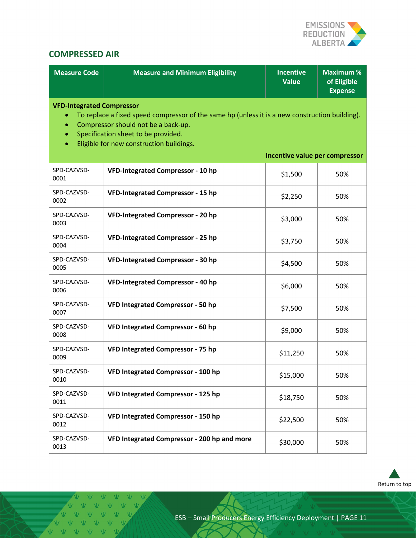

# **COMPRESSED AIR**

| <b>Measure Code</b>                                                                                                                                                                                                                                                                                 | <b>Measure and Minimum Eligibility</b>      | <b>Incentive</b><br><b>Value</b> | <b>Maximum %</b><br>of Eligible<br><b>Expense</b> |  |
|-----------------------------------------------------------------------------------------------------------------------------------------------------------------------------------------------------------------------------------------------------------------------------------------------------|---------------------------------------------|----------------------------------|---------------------------------------------------|--|
| <b>VFD-Integrated Compressor</b><br>To replace a fixed speed compressor of the same hp (unless it is a new construction building).<br>Compressor should not be a back-up.<br>Specification sheet to be provided.<br>۰<br>Eligible for new construction buildings.<br>Incentive value per compressor |                                             |                                  |                                                   |  |
| SPD-CAZVSD-<br>0001                                                                                                                                                                                                                                                                                 | <b>VFD-Integrated Compressor - 10 hp</b>    | \$1,500                          | 50%                                               |  |
| SPD-CAZVSD-<br>0002                                                                                                                                                                                                                                                                                 | VFD-Integrated Compressor - 15 hp           | \$2,250                          | 50%                                               |  |
| SPD-CAZVSD-<br>0003                                                                                                                                                                                                                                                                                 | <b>VFD-Integrated Compressor - 20 hp</b>    | \$3,000                          | 50%                                               |  |
| SPD-CAZVSD-<br>0004                                                                                                                                                                                                                                                                                 | <b>VFD-Integrated Compressor - 25 hp</b>    | \$3,750                          | 50%                                               |  |
| SPD-CAZVSD-<br>0005                                                                                                                                                                                                                                                                                 | <b>VFD-Integrated Compressor - 30 hp</b>    | \$4,500                          | 50%                                               |  |
| SPD-CAZVSD-<br>0006                                                                                                                                                                                                                                                                                 | <b>VFD-Integrated Compressor - 40 hp</b>    | \$6,000                          | 50%                                               |  |
| SPD-CAZVSD-<br>0007                                                                                                                                                                                                                                                                                 | <b>VFD Integrated Compressor - 50 hp</b>    | \$7,500                          | 50%                                               |  |
| SPD-CAZVSD-<br>0008                                                                                                                                                                                                                                                                                 | VFD Integrated Compressor - 60 hp           | \$9,000                          | 50%                                               |  |
| SPD-CAZVSD-<br>0009                                                                                                                                                                                                                                                                                 | VFD Integrated Compressor - 75 hp           | \$11,250                         | 50%                                               |  |
| SPD-CAZVSD-<br>0010                                                                                                                                                                                                                                                                                 | VFD Integrated Compressor - 100 hp          | \$15,000                         | 50%                                               |  |
| SPD-CAZVSD-<br>0011                                                                                                                                                                                                                                                                                 | VFD Integrated Compressor - 125 hp          | \$18,750                         | 50%                                               |  |
| SPD-CAZVSD-<br>0012                                                                                                                                                                                                                                                                                 | VFD Integrated Compressor - 150 hp          | \$22,500                         | 50%                                               |  |
| SPD-CAZVSD-<br>0013                                                                                                                                                                                                                                                                                 | VFD Integrated Compressor - 200 hp and more | \$30,000                         | 50%                                               |  |



VVVV  $W = W - W$ VVVV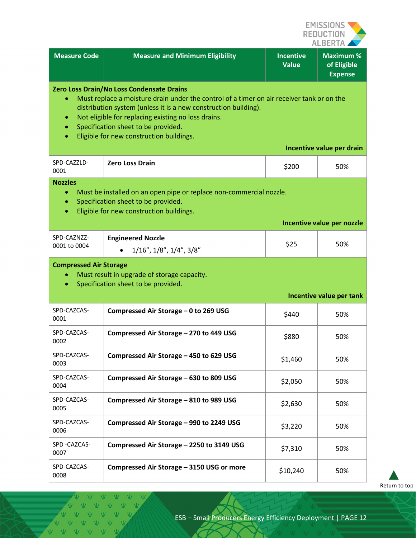

|                                                       |                                                                                                                                                                                                                                                                                                                                                     |                           | ALBERIA A                                         |
|-------------------------------------------------------|-----------------------------------------------------------------------------------------------------------------------------------------------------------------------------------------------------------------------------------------------------------------------------------------------------------------------------------------------------|---------------------------|---------------------------------------------------|
| <b>Measure Code</b>                                   | <b>Measure and Minimum Eligibility</b>                                                                                                                                                                                                                                                                                                              | <b>Incentive</b><br>Value | <b>Maximum %</b><br>of Eligible<br><b>Expense</b> |
| ۰<br>$\bullet$                                        | Zero Loss Drain/No Loss Condensate Drains<br>Must replace a moisture drain under the control of a timer on air receiver tank or on the<br>distribution system (unless it is a new construction building).<br>Not eligible for replacing existing no loss drains.<br>Specification sheet to be provided.<br>Eligible for new construction buildings. |                           |                                                   |
|                                                       |                                                                                                                                                                                                                                                                                                                                                     |                           | Incentive value per drain                         |
| SPD-CAZZLD-<br>0001                                   | <b>Zero Loss Drain</b>                                                                                                                                                                                                                                                                                                                              | \$200                     | 50%                                               |
| <b>Nozzles</b><br>$\bullet$<br>$\bullet$<br>$\bullet$ | Must be installed on an open pipe or replace non-commercial nozzle.<br>Specification sheet to be provided.<br>Eligible for new construction buildings.                                                                                                                                                                                              |                           | Incentive value per nozzle                        |
|                                                       |                                                                                                                                                                                                                                                                                                                                                     |                           |                                                   |
| SPD-CAZNZZ-<br>0001 to 0004                           | <b>Engineered Nozzle</b><br>$1/16$ ", $1/8$ ", $1/4$ ", $3/8$ "                                                                                                                                                                                                                                                                                     | \$25                      | 50%                                               |
| <b>Compressed Air Storage</b><br>$\bullet$            | Must result in upgrade of storage capacity.<br>Specification sheet to be provided.                                                                                                                                                                                                                                                                  |                           | Incentive value per tank                          |
| SPD-CAZCAS-<br>0001                                   | Compressed Air Storage - 0 to 269 USG                                                                                                                                                                                                                                                                                                               | \$440                     | 50%                                               |
| SPD-CAZCAS-<br>0002                                   | Compressed Air Storage - 270 to 449 USG                                                                                                                                                                                                                                                                                                             | \$880                     | 50%                                               |
| SPD-CAZCAS-<br>0003                                   | Compressed Air Storage - 450 to 629 USG                                                                                                                                                                                                                                                                                                             | \$1,460                   | 50%                                               |
| SPD-CAZCAS-<br>0004                                   | Compressed Air Storage - 630 to 809 USG                                                                                                                                                                                                                                                                                                             | \$2,050                   | 50%                                               |
| SPD-CAZCAS-<br>0005                                   | Compressed Air Storage - 810 to 989 USG                                                                                                                                                                                                                                                                                                             | \$2,630                   | 50%                                               |
| SPD-CAZCAS-<br>0006                                   | Compressed Air Storage - 990 to 2249 USG                                                                                                                                                                                                                                                                                                            | \$3,220                   | 50%                                               |
| SPD -CAZCAS-<br>0007                                  | Compressed Air Storage - 2250 to 3149 USG                                                                                                                                                                                                                                                                                                           | \$7,310                   | 50%                                               |
| SPD-CAZCAS-<br>0008                                   | Compressed Air Storage - 3150 USG or more                                                                                                                                                                                                                                                                                                           | \$10,240                  | 50%                                               |

[Return to top](#page-0-0)

VVVVVV V V V V V VVVVVV V V V V V V VVVVVV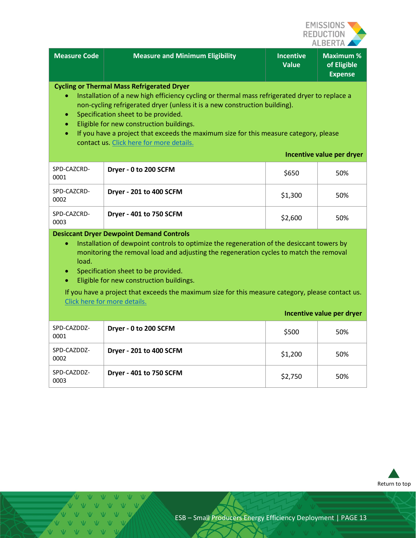

|                                                                                                                                                                                                                                                                                                                                                                                                                                                                                                   |                                                                                                                                                                                                                                                                                                                                                                                                                                                          |                                  | <b>ALDERIA</b>                                   |
|---------------------------------------------------------------------------------------------------------------------------------------------------------------------------------------------------------------------------------------------------------------------------------------------------------------------------------------------------------------------------------------------------------------------------------------------------------------------------------------------------|----------------------------------------------------------------------------------------------------------------------------------------------------------------------------------------------------------------------------------------------------------------------------------------------------------------------------------------------------------------------------------------------------------------------------------------------------------|----------------------------------|--------------------------------------------------|
| <b>Measure Code</b>                                                                                                                                                                                                                                                                                                                                                                                                                                                                               | <b>Measure and Minimum Eligibility</b>                                                                                                                                                                                                                                                                                                                                                                                                                   | <b>Incentive</b><br><b>Value</b> | <b>Maximum%</b><br>of Eligible<br><b>Expense</b> |
| $\bullet$<br>$\bullet$<br>$\bullet$                                                                                                                                                                                                                                                                                                                                                                                                                                                               | <b>Cycling or Thermal Mass Refrigerated Dryer</b><br>Installation of a new high efficiency cycling or thermal mass refrigerated dryer to replace a<br>non-cycling refrigerated dryer (unless it is a new construction building).<br>Specification sheet to be provided.<br>Eligible for new construction buildings.<br>If you have a project that exceeds the maximum size for this measure category, please<br>contact us. Click here for more details. |                                  | Incentive value per dryer                        |
| SPD-CAZCRD-<br>0001                                                                                                                                                                                                                                                                                                                                                                                                                                                                               | Dryer - 0 to 200 SCFM                                                                                                                                                                                                                                                                                                                                                                                                                                    | \$650                            | 50%                                              |
| SPD-CAZCRD-<br>0002                                                                                                                                                                                                                                                                                                                                                                                                                                                                               | Dryer - 201 to 400 SCFM                                                                                                                                                                                                                                                                                                                                                                                                                                  | \$1,300                          | 50%                                              |
| SPD-CAZCRD-<br>0003                                                                                                                                                                                                                                                                                                                                                                                                                                                                               | Dryer - 401 to 750 SCFM                                                                                                                                                                                                                                                                                                                                                                                                                                  | \$2,600                          | 50%                                              |
| <b>Desiccant Dryer Dewpoint Demand Controls</b><br>Installation of dewpoint controls to optimize the regeneration of the desiccant towers by<br>$\bullet$<br>monitoring the removal load and adjusting the regeneration cycles to match the removal<br>load.<br>Specification sheet to be provided.<br>$\bullet$<br>Eligible for new construction buildings.<br>If you have a project that exceeds the maximum size for this measure category, please contact us.<br>Click here for more details. |                                                                                                                                                                                                                                                                                                                                                                                                                                                          |                                  |                                                  |
|                                                                                                                                                                                                                                                                                                                                                                                                                                                                                                   |                                                                                                                                                                                                                                                                                                                                                                                                                                                          |                                  | Incentive value per dryer                        |
| SPD-CAZDDZ-<br>0001                                                                                                                                                                                                                                                                                                                                                                                                                                                                               | Dryer - 0 to 200 SCFM                                                                                                                                                                                                                                                                                                                                                                                                                                    | \$500                            | 50%                                              |
| SPD-CAZDDZ-<br>0002                                                                                                                                                                                                                                                                                                                                                                                                                                                                               | Dryer - 201 to 400 SCFM                                                                                                                                                                                                                                                                                                                                                                                                                                  | \$1,200                          | 50%                                              |
| SPD-CAZDDZ-<br>0003                                                                                                                                                                                                                                                                                                                                                                                                                                                                               | Dryer - 401 to 750 SCFM                                                                                                                                                                                                                                                                                                                                                                                                                                  | \$2,750                          | 50%                                              |



 $\sqrt{V}$ V V V V V VVVVVVV V V V V V V VVVVVV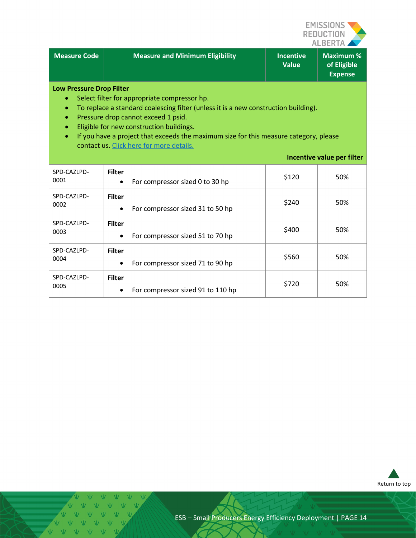

| <b>Measure Code</b>                                                                                                                                                                                                                                                                                                                                                                                                                            | <b>Measure and Minimum Eligibility</b>             | <b>Incentive</b><br><b>Value</b> | <b>Maximum %</b><br>of Eligible<br><b>Expense</b> |
|------------------------------------------------------------------------------------------------------------------------------------------------------------------------------------------------------------------------------------------------------------------------------------------------------------------------------------------------------------------------------------------------------------------------------------------------|----------------------------------------------------|----------------------------------|---------------------------------------------------|
| <b>Low Pressure Drop Filter</b><br>Select filter for appropriate compressor hp.<br>۰<br>To replace a standard coalescing filter (unless it is a new construction building).<br>Pressure drop cannot exceed 1 psid.<br>Eligible for new construction buildings.<br>If you have a project that exceeds the maximum size for this measure category, please<br>$\bullet$<br>contact us. Click here for more details.<br>Incentive value per filter |                                                    |                                  |                                                   |
| SPD-CAZLPD-<br>0001                                                                                                                                                                                                                                                                                                                                                                                                                            | <b>Filter</b><br>For compressor sized 0 to 30 hp   | \$120                            | 50%                                               |
| SPD-CAZLPD-<br>0002                                                                                                                                                                                                                                                                                                                                                                                                                            | <b>Filter</b><br>For compressor sized 31 to 50 hp  | \$240                            | 50%                                               |
| SPD-CAZLPD-<br>0003                                                                                                                                                                                                                                                                                                                                                                                                                            | <b>Filter</b><br>For compressor sized 51 to 70 hp  | \$400                            | 50%                                               |
| SPD-CAZLPD-<br>0004                                                                                                                                                                                                                                                                                                                                                                                                                            | <b>Filter</b><br>For compressor sized 71 to 90 hp  | \$560                            | 50%                                               |
| SPD-CAZLPD-<br>0005                                                                                                                                                                                                                                                                                                                                                                                                                            | <b>Filter</b><br>For compressor sized 91 to 110 hp | \$720                            | 50%                                               |



V V V V V V V V V V V V V V V V V VVVVVV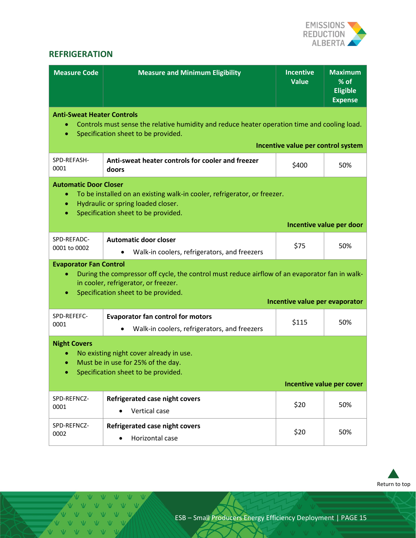

# <span id="page-14-0"></span>**REFRIGERATION**

| <b>Measure Code</b>                                                                                                                                                                                             | <b>Measure and Minimum Eligibility</b>                                                                                                                                        | <b>Incentive</b><br><b>Value</b>   | <b>Maximum</b><br>% of<br><b>Eligible</b><br><b>Expense</b> |  |
|-----------------------------------------------------------------------------------------------------------------------------------------------------------------------------------------------------------------|-------------------------------------------------------------------------------------------------------------------------------------------------------------------------------|------------------------------------|-------------------------------------------------------------|--|
| <b>Anti-Sweat Heater Controls</b><br>$\bullet$                                                                                                                                                                  | Controls must sense the relative humidity and reduce heater operation time and cooling load.<br>Specification sheet to be provided.                                           | Incentive value per control system |                                                             |  |
| SPD-REFASH-<br>0001                                                                                                                                                                                             | Anti-sweat heater controls for cooler and freezer<br>doors                                                                                                                    | \$400                              | 50%                                                         |  |
| <b>Automatic Door Closer</b><br>To be installed on an existing walk-in cooler, refrigerator, or freezer.<br>$\bullet$<br>Hydraulic or spring loaded closer.<br>$\bullet$<br>Specification sheet to be provided. |                                                                                                                                                                               |                                    |                                                             |  |
|                                                                                                                                                                                                                 |                                                                                                                                                                               |                                    | Incentive value per door                                    |  |
| SPD-REFADC-<br>0001 to 0002                                                                                                                                                                                     | <b>Automatic door closer</b><br>Walk-in coolers, refrigerators, and freezers                                                                                                  | \$75                               | 50%                                                         |  |
| <b>Evaporator Fan Control</b><br>$\bullet$<br>۰                                                                                                                                                                 | During the compressor off cycle, the control must reduce airflow of an evaporator fan in walk-<br>in cooler, refrigerator, or freezer.<br>Specification sheet to be provided. |                                    |                                                             |  |
|                                                                                                                                                                                                                 |                                                                                                                                                                               | Incentive value per evaporator     |                                                             |  |
| SPD-REFEFC-<br>0001                                                                                                                                                                                             | <b>Evaporator fan control for motors</b><br>Walk-in coolers, refrigerators, and freezers                                                                                      | \$115                              | 50%                                                         |  |
| <b>Night Covers</b><br>No existing night cover already in use.<br>Must be in use for 25% of the day.<br>$\bullet$<br>Specification sheet to be provided.<br>Incentive value per cover                           |                                                                                                                                                                               |                                    |                                                             |  |
|                                                                                                                                                                                                                 |                                                                                                                                                                               |                                    |                                                             |  |
| SPD-REFNCZ-<br>0001                                                                                                                                                                                             | Refrigerated case night covers<br>Vertical case                                                                                                                               | \$20                               | 50%                                                         |  |
| SPD-REFNCZ-<br>0002                                                                                                                                                                                             | Refrigerated case night covers<br>Horizontal case                                                                                                                             | \$20                               | 50%                                                         |  |



 $V = V - V$  $V = W - W - W$ VVVV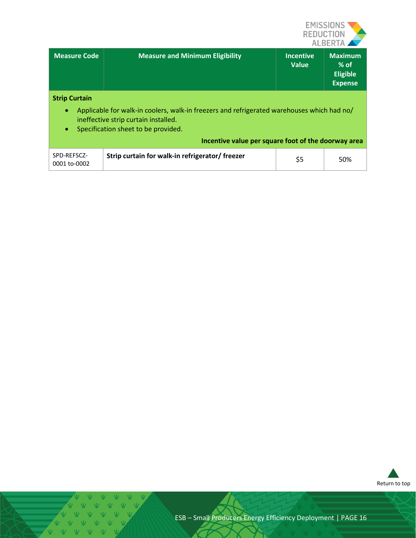

| <b>Measure Code</b>                            | <b>Measure and Minimum Eligibility</b>                                                                                                                                    | <b>Incentive</b><br><b>Value</b> | <b>Maximum</b><br>$%$ of<br><b>Eligible</b><br><b>Expense</b> |
|------------------------------------------------|---------------------------------------------------------------------------------------------------------------------------------------------------------------------------|----------------------------------|---------------------------------------------------------------|
| <b>Strip Curtain</b><br>$\bullet$<br>$\bullet$ | Applicable for walk-in coolers, walk-in freezers and refrigerated warehouses which had no/<br>ineffective strip curtain installed.<br>Specification sheet to be provided. |                                  |                                                               |

| Incentive value per square foot of the doorway area |                                                 |    |     |
|-----------------------------------------------------|-------------------------------------------------|----|-----|
| SPD-REFSCZ-<br>0001 to-0002                         | Strip curtain for walk-in refrigerator/ freezer | S5 | 50% |



 $\overline{M}$ V V V V V  $\Delta V = \Delta V$  $\sqrt{ }$  $\overline{W}$  $V - V$  $\overline{V}$ V V V V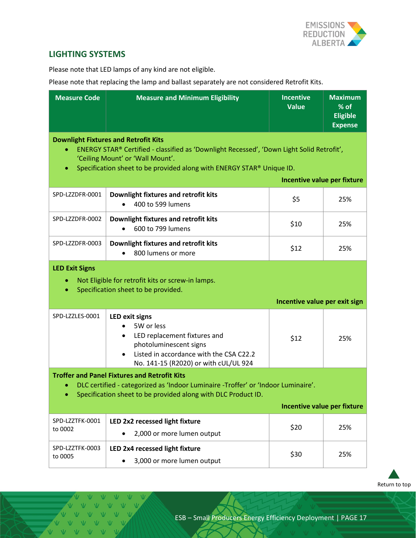

# <span id="page-16-0"></span>**LIGHTING SYSTEMS**

Please note that LED lamps of any kind are not eligible.

Please note that replacing the lamp and ballast separately are not considered Retrofit Kits.

| <b>Measure Code</b>                                                                                                                                                                                                                                                             | <b>Measure and Minimum Eligibility</b>                                                                                                                                                 | <b>Incentive</b><br><b>Value</b> | <b>Maximum</b><br>% of<br><b>Eligible</b><br><b>Expense</b> |
|---------------------------------------------------------------------------------------------------------------------------------------------------------------------------------------------------------------------------------------------------------------------------------|----------------------------------------------------------------------------------------------------------------------------------------------------------------------------------------|----------------------------------|-------------------------------------------------------------|
| <b>Downlight Fixtures and Retrofit Kits</b><br>ENERGY STAR® Certified - classified as 'Downlight Recessed', 'Down Light Solid Retrofit',<br>$\bullet$<br>'Ceiling Mount' or 'Wall Mount'.<br>Specification sheet to be provided along with ENERGY STAR® Unique ID.<br>$\bullet$ |                                                                                                                                                                                        |                                  |                                                             |
|                                                                                                                                                                                                                                                                                 |                                                                                                                                                                                        | Incentive value per fixture      |                                                             |
| SPD-LZZDFR-0001                                                                                                                                                                                                                                                                 | Downlight fixtures and retrofit kits<br>400 to 599 lumens                                                                                                                              | \$5                              | 25%                                                         |
| SPD-LZZDFR-0002                                                                                                                                                                                                                                                                 | Downlight fixtures and retrofit kits<br>600 to 799 lumens                                                                                                                              | \$10                             | 25%                                                         |
| SPD-LZZDFR-0003                                                                                                                                                                                                                                                                 | Downlight fixtures and retrofit kits<br>800 lumens or more                                                                                                                             | \$12                             | 25%                                                         |
| <b>LED Exit Signs</b><br>Not Eligible for retrofit kits or screw-in lamps.<br>Specification sheet to be provided.<br>Incentive value per exit sign                                                                                                                              |                                                                                                                                                                                        |                                  |                                                             |
| SPD-LZZLES-0001                                                                                                                                                                                                                                                                 | <b>LED exit signs</b><br>5W or less<br>LED replacement fixtures and<br>٠<br>photoluminescent signs<br>Listed in accordance with the CSA C22.2<br>No. 141-15 (R2020) or with cUL/UL 924 | \$12                             | 25%                                                         |
| <b>Troffer and Panel Fixtures and Retrofit Kits</b><br>DLC certified - categorized as 'Indoor Luminaire -Troffer' or 'Indoor Luminaire'.<br>Specification sheet to be provided along with DLC Product ID.<br><b>Incentive value per fixture</b>                                 |                                                                                                                                                                                        |                                  |                                                             |
| SPD-LZZTFK-0001                                                                                                                                                                                                                                                                 | LED 2x2 recessed light fixture                                                                                                                                                         |                                  |                                                             |
| to 0002                                                                                                                                                                                                                                                                         | 2,000 or more lumen output                                                                                                                                                             | \$20                             | 25%                                                         |
| SPD-LZZTFK-0003<br>to 0005                                                                                                                                                                                                                                                      | LED 2x4 recessed light fixture                                                                                                                                                         | \$30                             | 25%                                                         |
|                                                                                                                                                                                                                                                                                 | 3,000 or more lumen output                                                                                                                                                             |                                  |                                                             |

[Return to top](#page-0-0)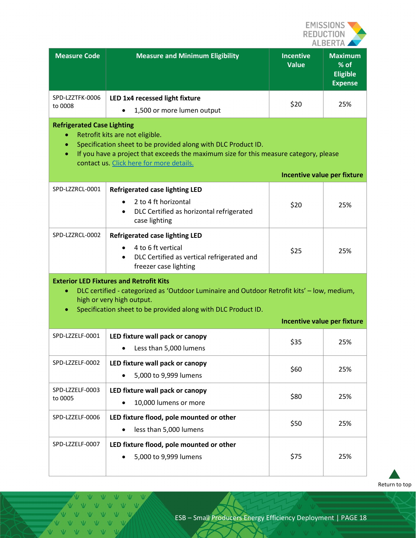

| <b>Measure Code</b>                                                                                                                                                                                                                                                                                                    | <b>Measure and Minimum Eligibility</b>                                                                                                                                                                                                      | <b>Incentive</b><br><b>Value</b>   | <b>Maximum</b><br>% of<br><b>Eligible</b><br><b>Expense</b> |
|------------------------------------------------------------------------------------------------------------------------------------------------------------------------------------------------------------------------------------------------------------------------------------------------------------------------|---------------------------------------------------------------------------------------------------------------------------------------------------------------------------------------------------------------------------------------------|------------------------------------|-------------------------------------------------------------|
| SPD-LZZTFK-0006<br>to 0008                                                                                                                                                                                                                                                                                             | LED 1x4 recessed light fixture<br>1,500 or more lumen output                                                                                                                                                                                | \$20                               | 25%                                                         |
| <b>Refrigerated Case Lighting</b><br>Retrofit kits are not eligible.<br>Specification sheet to be provided along with DLC Product ID.<br>$\bullet$<br>If you have a project that exceeds the maximum size for this measure category, please<br>contact us. Click here for more details.<br>Incentive value per fixture |                                                                                                                                                                                                                                             |                                    |                                                             |
| SPD-LZZRCL-0001                                                                                                                                                                                                                                                                                                        | <b>Refrigerated case lighting LED</b><br>2 to 4 ft horizontal<br>DLC Certified as horizontal refrigerated<br>case lighting                                                                                                                  | \$20                               | 25%                                                         |
| SPD-LZZRCL-0002                                                                                                                                                                                                                                                                                                        | <b>Refrigerated case lighting LED</b><br>4 to 6 ft vertical<br>DLC Certified as vertical refrigerated and<br>$\bullet$<br>freezer case lighting                                                                                             | \$25                               | 25%                                                         |
| $\bullet$<br>٠                                                                                                                                                                                                                                                                                                         | <b>Exterior LED Fixtures and Retrofit Kits</b><br>DLC certified - categorized as 'Outdoor Luminaire and Outdoor Retrofit kits' - low, medium,<br>high or very high output.<br>Specification sheet to be provided along with DLC Product ID. | <b>Incentive value per fixture</b> |                                                             |
| SPD-LZZELF-0001                                                                                                                                                                                                                                                                                                        | LED fixture wall pack or canopy<br>Less than 5,000 lumens                                                                                                                                                                                   | \$35                               | 25%                                                         |
| SPD-LZZELF-0002                                                                                                                                                                                                                                                                                                        | LED fixture wall pack or canopy<br>5,000 to 9,999 lumens                                                                                                                                                                                    | \$60                               | 25%                                                         |
| SPD-LZZELF-0003<br>to 0005                                                                                                                                                                                                                                                                                             | LED fixture wall pack or canopy<br>10,000 lumens or more                                                                                                                                                                                    | \$80                               | 25%                                                         |
| SPD-LZZELF-0006                                                                                                                                                                                                                                                                                                        | LED fixture flood, pole mounted or other<br>less than 5,000 lumens                                                                                                                                                                          | \$50                               | 25%                                                         |
| SPD-LZZELF-0007                                                                                                                                                                                                                                                                                                        | LED fixture flood, pole mounted or other<br>5,000 to 9,999 lumens                                                                                                                                                                           | \$75                               | 25%                                                         |

[Return to top](#page-0-0)

 $\sqrt{17}$  $\overline{M}$  $\overline{M}$  $\overline{M}$  $\sqrt{2}$ V V V V V VVVVVV V V V V V V VVVVVV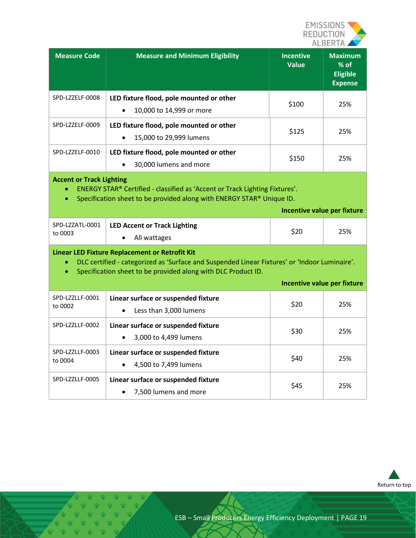

| <b>Measure Code</b> | <b>Measure and Minimum Eligibility</b>                                            | <b>Incentive</b><br><b>Value</b> | <b>Maximum</b><br>$%$ of<br><b>Eligible</b><br><b>Expense</b> |
|---------------------|-----------------------------------------------------------------------------------|----------------------------------|---------------------------------------------------------------|
| SPD-LZZELF-0008     | LED fixture flood, pole mounted or other<br>10,000 to 14,999 or more<br>$\bullet$ | \$100                            | 25%                                                           |
| SPD-LZZELF-0009     | LED fixture flood, pole mounted or other<br>15,000 to 29,999 lumens<br>$\bullet$  | \$125                            | 25%                                                           |
| SPD-LZZELF-0010     | LED fixture flood, pole mounted or other<br>30,000 lumens and more<br>$\bullet$   | \$150                            | 25%                                                           |

#### **Accent or Track Lighting**

- ENERGY STAR® Certified classified as 'Accent or Track Lighting Fixtures'.
- Specification sheet to be provided along with ENERGY STAR® Unique ID.

|         |                                                                | Incentive value per fixture |     |
|---------|----------------------------------------------------------------|-----------------------------|-----|
| to 0003 | SPD-LZZATL-0001   LED Accent or Track Lighting<br>All wattages | \$20                        | 25% |

#### **Linear LED Fixture Replacement or Retrofit Kit**

- DLC certified categorized as 'Surface and Suspended Linear Fixtures' or 'Indoor Luminaire'.
- Specification sheet to be provided along with DLC Product ID.

|                            |                                                                            | Incentive value per fixture |     |
|----------------------------|----------------------------------------------------------------------------|-----------------------------|-----|
| SPD-LZZLLF-0001<br>to 0002 | Linear surface or suspended fixture<br>Less than 3,000 lumens<br>$\bullet$ | \$20                        | 25% |
| SPD-LZZLLF-0002            | Linear surface or suspended fixture<br>3,000 to 4,499 lumens<br>$\bullet$  | \$30                        | 25% |
| SPD-LZZLLF-0003<br>to 0004 | Linear surface or suspended fixture<br>4,500 to 7,499 lumens<br>$\bullet$  | \$40                        | 25% |
| SPD-LZZLLF-0005            | Linear surface or suspended fixture<br>7,500 lumens and more<br>$\bullet$  | \$45                        | 25% |



V V V V V V V V V V V V V V V V V V V V V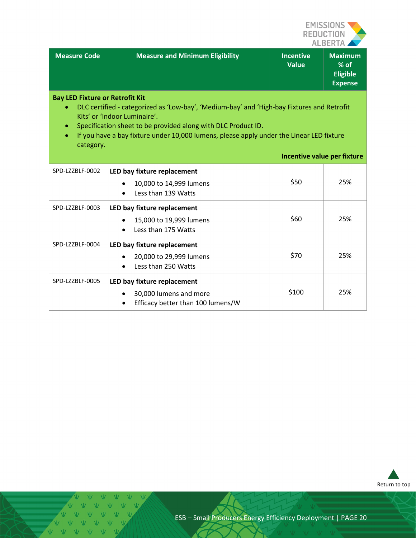

| <b>Measure Code</b> | <b>Measure and Minimum Eligibility</b> | <b>Incentive</b><br><b>Value</b> | <b>Maximum</b><br>$%$ of<br><b>Eligible</b><br>Expense |
|---------------------|----------------------------------------|----------------------------------|--------------------------------------------------------|
|                     |                                        |                                  |                                                        |

#### **Bay LED Fixture or Retrofit Kit**

- DLC certified categorized as 'Low-bay', 'Medium-bay' and 'High-bay Fixtures and Retrofit Kits' or 'Indoor Luminaire'.
- Specification sheet to be provided along with DLC Product ID.
- If you have a bay fixture under 10,000 lumens, please apply under the Linear LED fixture category.

#### **Incentive value per fixture**

| SPD-LZZBLF-0002 | LED bay fixture replacement<br>10,000 to 14,999 lumens<br>Less than 139 Watts<br>$\bullet$              | \$50  | 25% |
|-----------------|---------------------------------------------------------------------------------------------------------|-------|-----|
| SPD-LZZBLF-0003 | LED bay fixture replacement<br>15,000 to 19,999 lumens<br>Less than 175 Watts<br>$\bullet$              | \$60  | 25% |
| SPD-LZZBLF-0004 | LED bay fixture replacement<br>20,000 to 29,999 lumens<br>$\bullet$<br>Less than 250 Watts              | \$70  | 25% |
| SPD-LZZBLF-0005 | LED bay fixture replacement<br>30,000 lumens and more<br>Efficacy better than 100 lumens/W<br>$\bullet$ | \$100 | 25% |



V V V V V V V V V V V V V V V V V VVVVV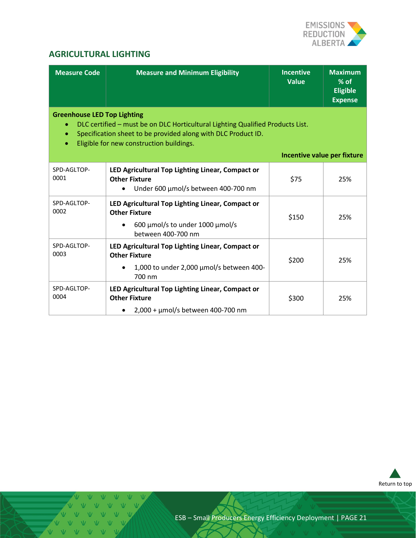

# <span id="page-20-0"></span>**AGRICULTURAL LIGHTING**

| <b>Measure Code</b>                                                                                                                                                                                                                                                                             | <b>Measure and Minimum Eligibility</b>                                                                                                         | <b>Incentive</b><br><b>Value</b> | <b>Maximum</b><br>$%$ of<br><b>Eligible</b><br><b>Expense</b> |
|-------------------------------------------------------------------------------------------------------------------------------------------------------------------------------------------------------------------------------------------------------------------------------------------------|------------------------------------------------------------------------------------------------------------------------------------------------|----------------------------------|---------------------------------------------------------------|
| <b>Greenhouse LED Top Lighting</b><br>DLC certified - must be on DLC Horticultural Lighting Qualified Products List.<br>۰<br>Specification sheet to be provided along with DLC Product ID.<br>$\bullet$<br>Eligible for new construction buildings.<br>$\bullet$<br>Incentive value per fixture |                                                                                                                                                |                                  |                                                               |
| SPD-AGLTOP-<br>0001                                                                                                                                                                                                                                                                             | LED Agricultural Top Lighting Linear, Compact or<br><b>Other Fixture</b><br>Under 600 µmol/s between 400-700 nm                                | \$75                             | 25%                                                           |
| SPD-AGLTOP-<br>0002                                                                                                                                                                                                                                                                             | LED Agricultural Top Lighting Linear, Compact or<br><b>Other Fixture</b><br>600 μmol/s to under 1000 μmol/s<br>$\bullet$<br>between 400-700 nm | \$150                            | 25%                                                           |
| SPD-AGLTOP-<br>0003                                                                                                                                                                                                                                                                             | LED Agricultural Top Lighting Linear, Compact or<br><b>Other Fixture</b><br>1,000 to under 2,000 µmol/s between 400-<br>700 nm                 | \$200                            | 25%                                                           |
| SPD-AGLTOP-<br>0004                                                                                                                                                                                                                                                                             | LED Agricultural Top Lighting Linear, Compact or<br><b>Other Fixture</b><br>2,000 + µmol/s between 400-700 nm                                  | \$300                            | 25%                                                           |



VVVV  $W - W - W - W$ 

VVVV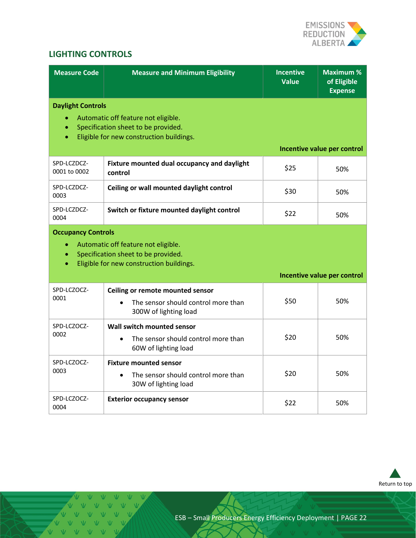

# <span id="page-21-0"></span>**LIGHTING CONTROLS**

| <b>Measure Code</b>                                                                                                                                              | <b>Measure and Minimum Eligibility</b>                                                                                 | <b>Incentive</b><br><b>Value</b> | <b>Maximum %</b><br>of Eligible<br><b>Expense</b> |
|------------------------------------------------------------------------------------------------------------------------------------------------------------------|------------------------------------------------------------------------------------------------------------------------|----------------------------------|---------------------------------------------------|
| <b>Daylight Controls</b><br>$\bullet$                                                                                                                            | Automatic off feature not eligible.<br>Specification sheet to be provided.<br>Eligible for new construction buildings. |                                  | Incentive value per control                       |
| SPD-LCZDCZ-<br>0001 to 0002                                                                                                                                      | Fixture mounted dual occupancy and daylight<br>control                                                                 | \$25                             | 50%                                               |
| SPD-LCZDCZ-<br>0003                                                                                                                                              | Ceiling or wall mounted daylight control                                                                               | \$30                             | 50%                                               |
| SPD-LCZDCZ-<br>0004                                                                                                                                              | Switch or fixture mounted daylight control                                                                             | \$22                             | 50%                                               |
| <b>Occupancy Controls</b><br>Automatic off feature not eligible.<br>$\bullet$<br>Specification sheet to be provided.<br>Eligible for new construction buildings. |                                                                                                                        |                                  |                                                   |
|                                                                                                                                                                  |                                                                                                                        |                                  | Incentive value per control                       |
| SPD-LCZOCZ-<br>0001                                                                                                                                              | Ceiling or remote mounted sensor<br>The sensor should control more than<br>300W of lighting load                       | \$50                             | 50%                                               |
| SPD-LCZOCZ-<br>0002                                                                                                                                              | Wall switch mounted sensor<br>The sensor should control more than<br>60W of lighting load                              | \$20                             | 50%                                               |
| SPD-LCZOCZ-<br>0003                                                                                                                                              | <b>Fixture mounted sensor</b><br>The sensor should control more than<br>30W of lighting load                           | \$20                             | 50%                                               |
| SPD-LCZOCZ-<br>0004                                                                                                                                              | <b>Exterior occupancy sensor</b>                                                                                       | \$22                             | 50%                                               |



VVVV  $V - W - W - W$ VVVV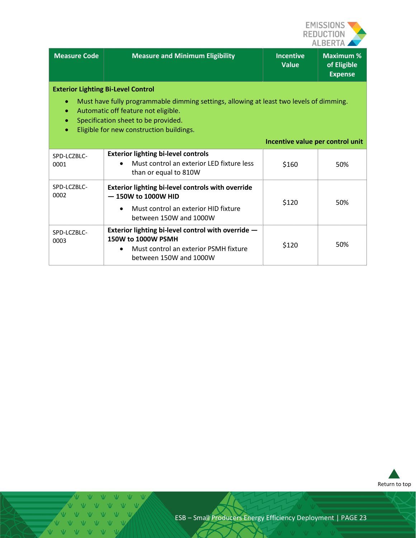

| <b>Measure Code</b>                                                                                                                                                                                                                                                                   | <b>Measure and Minimum Eligibility</b>                                                                                                      | <b>Incentive</b><br><b>Value</b> | <b>Maximum %</b><br>of Eligible<br><b>Expense</b> |
|---------------------------------------------------------------------------------------------------------------------------------------------------------------------------------------------------------------------------------------------------------------------------------------|---------------------------------------------------------------------------------------------------------------------------------------------|----------------------------------|---------------------------------------------------|
| <b>Exterior Lighting Bi-Level Control</b><br>Must have fully programmable dimming settings, allowing at least two levels of dimming.<br>Automatic off feature not eligible.<br>۰<br>Specification sheet to be provided.<br>$\bullet$<br>Eligible for new construction buildings.<br>۰ |                                                                                                                                             |                                  |                                                   |
|                                                                                                                                                                                                                                                                                       |                                                                                                                                             | Incentive value per control unit |                                                   |
| SPD-LCZBLC-<br>0001                                                                                                                                                                                                                                                                   | <b>Exterior lighting bi-level controls</b><br>Must control an exterior LED fixture less<br>than or equal to 810W                            | \$160                            | 50%                                               |
| SPD-LCZBLC-<br>0002                                                                                                                                                                                                                                                                   | Exterior lighting bi-level controls with override<br>$-150W$ to 1000W HID<br>Must control an exterior HID fixture<br>between 150W and 1000W | \$120                            | 50%                                               |
| SPD-LCZBLC-<br>0003                                                                                                                                                                                                                                                                   | Exterior lighting bi-level control with override -<br>150W to 1000W PSMH<br>Must control an exterior PSMH fixture<br>between 150W and 1000W | \$120                            | 50%                                               |



 $\sqrt{V}$  $V V$  $V$   $V$  $\overline{M}$ V V V V V VVVVVV V V V V V V VVVVVV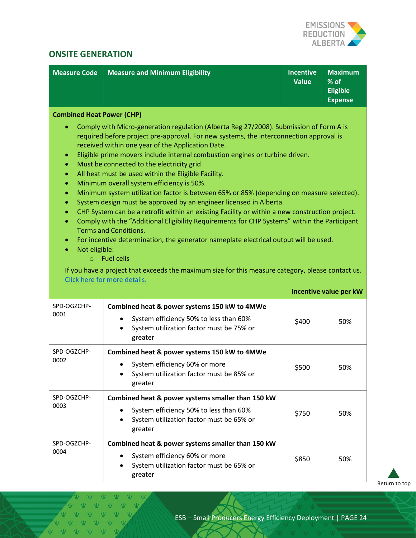

## <span id="page-23-0"></span>**ONSITE GENERATION**

| <b>Measure Code</b>                                                                                                                                                                                                                                                                                                                                                                                                                                                                                                                                                                                                                                                                                                                                                                                                                                                                                                                                                                                                                                                                                                                                                            | <b>Measure and Minimum Eligibility</b>                                                                                                             | <b>Incentive</b><br><b>Value</b> | <b>Maximum</b><br>% of<br><b>Eligible</b><br><b>Expense</b> |
|--------------------------------------------------------------------------------------------------------------------------------------------------------------------------------------------------------------------------------------------------------------------------------------------------------------------------------------------------------------------------------------------------------------------------------------------------------------------------------------------------------------------------------------------------------------------------------------------------------------------------------------------------------------------------------------------------------------------------------------------------------------------------------------------------------------------------------------------------------------------------------------------------------------------------------------------------------------------------------------------------------------------------------------------------------------------------------------------------------------------------------------------------------------------------------|----------------------------------------------------------------------------------------------------------------------------------------------------|----------------------------------|-------------------------------------------------------------|
| <b>Combined Heat Power (CHP)</b><br>Comply with Micro-generation regulation (Alberta Reg 27/2008). Submission of Form A is<br>۰<br>required before project pre-approval. For new systems, the interconnection approval is<br>received within one year of the Application Date.<br>Eligible prime movers include internal combustion engines or turbine driven.<br>۰<br>Must be connected to the electricity grid<br>۰<br>All heat must be used within the Eligible Facility.<br>$\bullet$<br>Minimum overall system efficiency is 50%.<br>$\bullet$<br>Minimum system utilization factor is between 65% or 85% (depending on measure selected).<br>$\bullet$<br>System design must be approved by an engineer licensed in Alberta.<br>$\bullet$<br>CHP System can be a retrofit within an existing Facility or within a new construction project.<br>$\bullet$<br>Comply with the "Additional Eligibility Requirements for CHP Systems" within the Participant<br>$\bullet$<br><b>Terms and Conditions.</b><br>For incentive determination, the generator nameplate electrical output will be used.<br>$\bullet$<br>Not eligible:<br>$\bullet$<br><b>Fuel cells</b><br>$\circ$ |                                                                                                                                                    |                                  |                                                             |
|                                                                                                                                                                                                                                                                                                                                                                                                                                                                                                                                                                                                                                                                                                                                                                                                                                                                                                                                                                                                                                                                                                                                                                                | If you have a project that exceeds the maximum size for this measure category, please contact us.<br>Click here for more details.                  |                                  | Incentive value per kW                                      |
| SPD-OGZCHP-<br>0001                                                                                                                                                                                                                                                                                                                                                                                                                                                                                                                                                                                                                                                                                                                                                                                                                                                                                                                                                                                                                                                                                                                                                            | Combined heat & power systems 150 kW to 4MWe<br>System efficiency 50% to less than 60%<br>٠<br>System utilization factor must be 75% or<br>greater | \$400                            | 50%                                                         |
| SPD-OGZCHP-<br>0002                                                                                                                                                                                                                                                                                                                                                                                                                                                                                                                                                                                                                                                                                                                                                                                                                                                                                                                                                                                                                                                                                                                                                            | Combined heat & power systems 150 kW to 4MWe<br>System efficiency 60% or more<br>System utilization factor must be 85% or<br>greater               | \$500                            | 50%                                                         |
| SPD-OGZCHP-<br>0003                                                                                                                                                                                                                                                                                                                                                                                                                                                                                                                                                                                                                                                                                                                                                                                                                                                                                                                                                                                                                                                                                                                                                            | Combined heat & power systems smaller than 150 kW<br>System efficiency 50% to less than 60%<br>System utilization factor must be 65% or<br>greater | \$750                            | 50%                                                         |
| SPD-OGZCHP-<br>0004                                                                                                                                                                                                                                                                                                                                                                                                                                                                                                                                                                                                                                                                                                                                                                                                                                                                                                                                                                                                                                                                                                                                                            | Combined heat & power systems smaller than 150 kW<br>System efficiency 60% or more<br>System utilization factor must be 65% or<br>greater          | \$850                            | 50%                                                         |

[Return to top](#page-0-0)

V V V VVVVV V V V V VVVVVV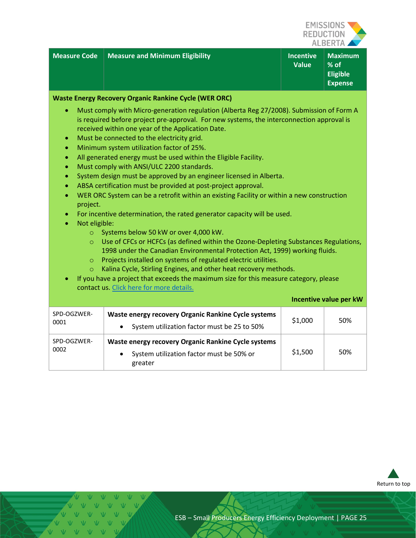

|  | Measure Code   Measure and Minimum Eligibility | <b>Incentive</b><br><b>Value</b> | Maximum<br>$%$ of<br>Eligible<br><b>Expense</b> |
|--|------------------------------------------------|----------------------------------|-------------------------------------------------|

#### **Waste Energy Recovery Organic Rankine Cycle (WER ORC)**

- Must comply with Micro-generation regulation (Alberta Reg 27/2008). Submission of Form A is required before project pre-approval. For new systems, the interconnection approval is received within one year of the Application Date.
- Must be connected to the electricity grid.
- Minimum system utilization factor of 25%.
- All generated energy must be used within the Eligible Facility.
- Must comply with ANSI/ULC 2200 standards.
- System design must be approved by an engineer licensed in Alberta.
- ABSA certification must be provided at post-project approval.
- WER ORC System can be a retrofit within an existing Facility or within a new construction project.
- For incentive determination, the rated generator capacity will be used.
- Not eligible:
	- o Systems below 50 kW or over 4,000 kW.
	- o Use of CFCs or HCFCs (as defined within the Ozone-Depleting Substances Regulations, 1998 under the Canadian Environmental Protection Act, 1999) working fluids.
	- o Projects installed on systems of regulated electric utilities.
	- o Kalina Cycle, Stirling Engines, and other heat recovery methods.
- If you have a project that exceeds the maximum size for this measure category, please contact us. Click [here for more details.](#page-3-2)

|                     |                                                                                                            |         | Incentive value per kW |
|---------------------|------------------------------------------------------------------------------------------------------------|---------|------------------------|
| SPD-OGZWER-<br>0001 | Waste energy recovery Organic Rankine Cycle systems<br>System utilization factor must be 25 to 50%         | \$1,000 | 50%                    |
| SPD-OGZWER-<br>0002 | Waste energy recovery Organic Rankine Cycle systems<br>System utilization factor must be 50% or<br>greater | \$1,500 | 50%                    |



VVVVV  $V = W - W - W$ 

 $V$   $V$   $V$   $V$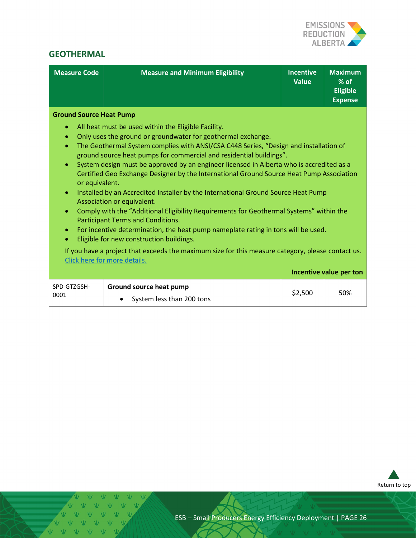

# <span id="page-25-0"></span>**GEOTHERMAL**

| <b>Measure Code</b>                                                                                                                              | <b>Measure and Minimum Eligibility</b>                                                                                                                                                                                                                                                                                                                                                                                                                                                                                                                                                                                                                                                                                                                                                                                                                                                                                                                                                                      | <b>Incentive</b><br><b>Value</b> | <b>Maximum</b><br>$%$ of<br><b>Eligible</b><br><b>Expense</b> |
|--------------------------------------------------------------------------------------------------------------------------------------------------|-------------------------------------------------------------------------------------------------------------------------------------------------------------------------------------------------------------------------------------------------------------------------------------------------------------------------------------------------------------------------------------------------------------------------------------------------------------------------------------------------------------------------------------------------------------------------------------------------------------------------------------------------------------------------------------------------------------------------------------------------------------------------------------------------------------------------------------------------------------------------------------------------------------------------------------------------------------------------------------------------------------|----------------------------------|---------------------------------------------------------------|
| <b>Ground Source Heat Pump</b><br>$\bullet$<br>$\bullet$<br>$\bullet$<br>$\bullet$<br>or equivalent.<br>$\bullet$<br>$\bullet$<br>۰<br>$\bullet$ | All heat must be used within the Eligible Facility.<br>Only uses the ground or groundwater for geothermal exchange.<br>The Geothermal System complies with ANSI/CSA C448 Series, "Design and installation of<br>ground source heat pumps for commercial and residential buildings".<br>System design must be approved by an engineer licensed in Alberta who is accredited as a<br>Certified Geo Exchange Designer by the International Ground Source Heat Pump Association<br>Installed by an Accredited Installer by the International Ground Source Heat Pump<br>Association or equivalent.<br>Comply with the "Additional Eligibility Requirements for Geothermal Systems" within the<br><b>Participant Terms and Conditions.</b><br>For incentive determination, the heat pump nameplate rating in tons will be used.<br>Eligible for new construction buildings.<br>If you have a project that exceeds the maximum size for this measure category, please contact us.<br>Click here for more details. |                                  |                                                               |
|                                                                                                                                                  |                                                                                                                                                                                                                                                                                                                                                                                                                                                                                                                                                                                                                                                                                                                                                                                                                                                                                                                                                                                                             |                                  | Incentive value per ton                                       |
| SPD-GTZGSH-<br>0001                                                                                                                              | Ground source heat pump<br>System less than 200 tons                                                                                                                                                                                                                                                                                                                                                                                                                                                                                                                                                                                                                                                                                                                                                                                                                                                                                                                                                        | \$2,500                          | 50%                                                           |



V V V V V V V V V V V V V V V V V VVVVVV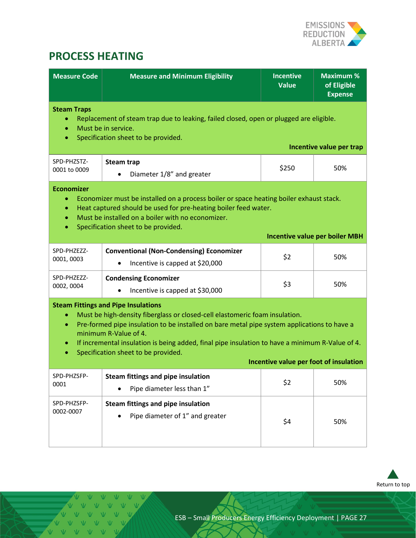

# <span id="page-26-0"></span>**PROCESS HEATING**

| <b>Measure Code</b>                                                                                                                                                                                                                                                                                                                                                                                                                                                  | <b>Measure and Minimum Eligibility</b>                                             | <b>Incentive</b><br><b>Value</b> | <b>Maximum %</b><br>of Eligible<br><b>Expense</b> |  |
|----------------------------------------------------------------------------------------------------------------------------------------------------------------------------------------------------------------------------------------------------------------------------------------------------------------------------------------------------------------------------------------------------------------------------------------------------------------------|------------------------------------------------------------------------------------|----------------------------------|---------------------------------------------------|--|
| <b>Steam Traps</b><br>Replacement of steam trap due to leaking, failed closed, open or plugged are eligible.<br>Must be in service.<br>$\bullet$<br>Specification sheet to be provided.<br>$\bullet$                                                                                                                                                                                                                                                                 |                                                                                    |                                  |                                                   |  |
|                                                                                                                                                                                                                                                                                                                                                                                                                                                                      |                                                                                    |                                  | Incentive value per trap                          |  |
| SPD-PHZSTZ-<br>0001 to 0009                                                                                                                                                                                                                                                                                                                                                                                                                                          | <b>Steam trap</b><br>Diameter 1/8" and greater                                     | \$250                            | 50%                                               |  |
| <b>Economizer</b><br>Economizer must be installed on a process boiler or space heating boiler exhaust stack.<br>۰<br>Heat captured should be used for pre-heating boiler feed water.<br>۰<br>Must be installed on a boiler with no economizer.<br>Specification sheet to be provided.<br>$\bullet$<br><b>Incentive value per boiler MBH</b>                                                                                                                          |                                                                                    |                                  |                                                   |  |
| SPD-PHZEZZ-<br>0001, 0003                                                                                                                                                                                                                                                                                                                                                                                                                                            | <b>Conventional (Non-Condensing) Economizer</b><br>Incentive is capped at \$20,000 | \$2                              | 50%                                               |  |
| SPD-PHZEZZ-<br>0002, 0004                                                                                                                                                                                                                                                                                                                                                                                                                                            | <b>Condensing Economizer</b><br>Incentive is capped at \$30,000<br>$\bullet$       | \$3                              | 50%                                               |  |
| <b>Steam Fittings and Pipe Insulations</b><br>Must be high-density fiberglass or closed-cell elastomeric foam insulation.<br>۰<br>Pre-formed pipe insulation to be installed on bare metal pipe system applications to have a<br>minimum R-Value of 4.<br>If incremental insulation is being added, final pipe insulation to have a minimum R-Value of 4.<br>$\bullet$<br>Specification sheet to be provided.<br>$\bullet$<br>Incentive value per foot of insulation |                                                                                    |                                  |                                                   |  |
| SPD-PHZSFP-                                                                                                                                                                                                                                                                                                                                                                                                                                                          | Steam fittings and pipe insulation                                                 |                                  |                                                   |  |
| 0001                                                                                                                                                                                                                                                                                                                                                                                                                                                                 | Pipe diameter less than 1"                                                         | \$2                              | 50%                                               |  |
| SPD-PHZSFP-<br>0002-0007                                                                                                                                                                                                                                                                                                                                                                                                                                             | Steam fittings and pipe insulation<br>Pipe diameter of 1" and greater              | \$4                              | 50%                                               |  |



V V V V V VVVVV V V V V VVVVV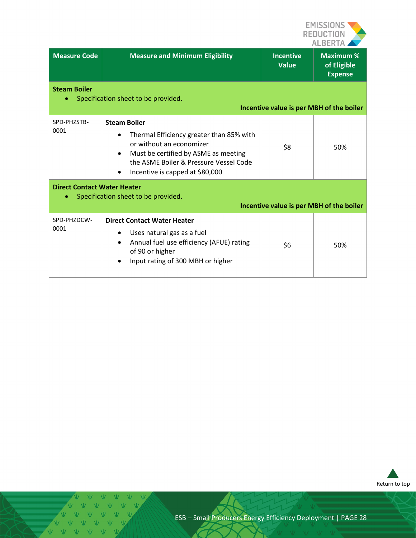

| <b>Measure Code</b>              | <b>Measure and Minimum Eligibility</b>                                                                                                                                                                                                  | <b>Incentive</b><br><b>Value</b>         | <b>Maximum %</b><br>of Eligible<br><b>Expense</b> |  |
|----------------------------------|-----------------------------------------------------------------------------------------------------------------------------------------------------------------------------------------------------------------------------------------|------------------------------------------|---------------------------------------------------|--|
| <b>Steam Boiler</b><br>$\bullet$ | Specification sheet to be provided.                                                                                                                                                                                                     | Incentive value is per MBH of the boiler |                                                   |  |
| SPD-PHZSTB-<br>0001              | <b>Steam Boiler</b><br>Thermal Efficiency greater than 85% with<br>٠<br>or without an economizer<br>Must be certified by ASME as meeting<br>$\bullet$<br>the ASME Boiler & Pressure Vessel Code<br>Incentive is capped at \$80,000<br>٠ | \$8                                      | 50%                                               |  |
| ٠                                | <b>Direct Contact Water Heater</b><br>Specification sheet to be provided.<br>Incentive value is per MBH of the boiler                                                                                                                   |                                          |                                                   |  |
| SPD-PHZDCW-<br>0001              | <b>Direct Contact Water Heater</b><br>Uses natural gas as a fuel<br>Annual fuel use efficiency (AFUE) rating<br>$\bullet$<br>of 90 or higher<br>Input rating of 300 MBH or higher                                                       | \$6                                      | 50%                                               |  |



 $\overline{\mathcal{M}}$  $N$  $\mathbf{V}$ W.  $\overline{M}$ VVVVVV V V V V V V V V V V V V VVVVVV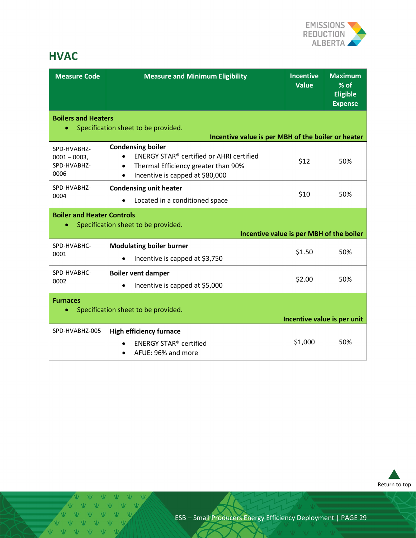

# <span id="page-28-0"></span>**HVAC**

| <b>Measure Code</b>                                                                                | <b>Measure and Minimum Eligibility</b>                                                                                                                                   | <b>Incentive</b><br><b>Value</b> | <b>Maximum</b><br>% of<br><b>Eligible</b><br><b>Expense</b> |  |
|----------------------------------------------------------------------------------------------------|--------------------------------------------------------------------------------------------------------------------------------------------------------------------------|----------------------------------|-------------------------------------------------------------|--|
| <b>Boilers and Heaters</b><br>$\bullet$                                                            | Specification sheet to be provided.<br>Incentive value is per MBH of the boiler or heater                                                                                |                                  |                                                             |  |
| SPD-HVABHZ-<br>$0001 - 0003$ ,<br>SPD-HVABHZ-<br>0006                                              | <b>Condensing boiler</b><br>ENERGY STAR® certified or AHRI certified<br>Thermal Efficiency greater than 90%<br>$\bullet$<br>Incentive is capped at \$80,000<br>$\bullet$ | \$12                             | 50%                                                         |  |
| SPD-HVABHZ-<br>0004                                                                                | <b>Condensing unit heater</b><br>Located in a conditioned space                                                                                                          | \$10                             | 50%                                                         |  |
| <b>Boiler and Heater Controls</b>                                                                  | Specification sheet to be provided.<br>Incentive value is per MBH of the boiler                                                                                          |                                  |                                                             |  |
| SPD-HVABHC-<br>0001                                                                                | <b>Modulating boiler burner</b><br>Incentive is capped at \$3,750                                                                                                        | \$1.50                           | 50%                                                         |  |
| SPD-HVABHC-<br>0002                                                                                | <b>Boiler vent damper</b><br>Incentive is capped at \$5,000                                                                                                              | \$2.00                           | 50%                                                         |  |
| <b>Furnaces</b><br>Specification sheet to be provided.<br>$\bullet$<br>Incentive value is per unit |                                                                                                                                                                          |                                  |                                                             |  |
| SPD-HVABHZ-005                                                                                     | <b>High efficiency furnace</b><br><b>ENERGY STAR® certified</b><br>AFUE: 96% and more                                                                                    | \$1,000                          | 50%                                                         |  |



V V V V V VVVV V V V V VVVVV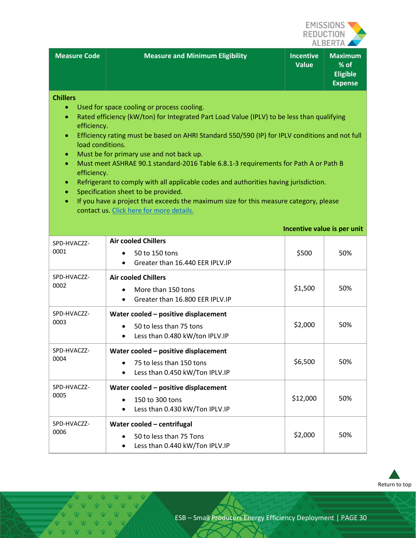

**Incentive value is per unit**

| <b>Measure Code</b> ا | <b>Measure and Minimum Eligibility</b> | <b>Incentive</b><br><b>Value</b> | <b>Maximum</b><br>$%$ of<br><b>Eligible</b><br><b>Expense</b> |
|-----------------------|----------------------------------------|----------------------------------|---------------------------------------------------------------|

**Chillers**

- Used for space cooling or process cooling.
- Rated efficiency (kW/ton) for Integrated Part Load Value (IPLV) to be less than qualifying efficiency.
- Efficiency rating must be based on AHRI Standard 550/590 (IP) for IPLV conditions and not full load conditions.
- Must be for primary use and not back up.
- Must meet ASHRAE 90.1 standard-2016 Table 6.8.1-3 requirements for Path A or Path B efficiency.
- Refrigerant to comply with all applicable codes and authorities having jurisdiction.
- Specification sheet to be provided.
- If you have a project that exceeds the maximum size for this measure category, please contact us. Click [here for more details.](#page-3-2)

| SPD-HVACZZ-<br>0001 | <b>Air cooled Chillers</b><br>50 to 150 tons<br>$\bullet$<br>Greater than 16.440 EER IPLV.IP<br>$\bullet$                    | \$500    | 50% |
|---------------------|------------------------------------------------------------------------------------------------------------------------------|----------|-----|
| SPD-HVACZZ-<br>0002 | <b>Air cooled Chillers</b><br>More than 150 tons<br>$\bullet$<br>Greater than 16,800 EER IPLV.IP<br>$\bullet$                | \$1,500  | 50% |
| SPD-HVACZZ-<br>0003 | Water cooled - positive displacement<br>50 to less than 75 tons<br>$\bullet$<br>Less than 0.480 kW/ton IPLV.IP<br>$\bullet$  | \$2,000  | 50% |
| SPD-HVACZZ-<br>0004 | Water cooled - positive displacement<br>75 to less than 150 tons<br>$\bullet$<br>Less than 0.450 kW/Ton IPLV.IP<br>$\bullet$ | \$6,500  | 50% |
| SPD-HVACZZ-<br>0005 | Water cooled - positive displacement<br>150 to 300 tons<br>$\bullet$<br>Less than 0.430 kW/Ton IPLV.IP<br>$\bullet$          | \$12,000 | 50% |
| SPD-HVACZZ-<br>0006 | Water cooled - centrifugal<br>50 to less than 75 Tons<br>$\bullet$<br>Less than 0.440 kW/Ton IPLV.IP<br>$\bullet$            | \$2,000  | 50% |



 $\overline{M}$   $\overline{M}$   $\overline{M}$   $\overline{M}$ 

 $M - W - W$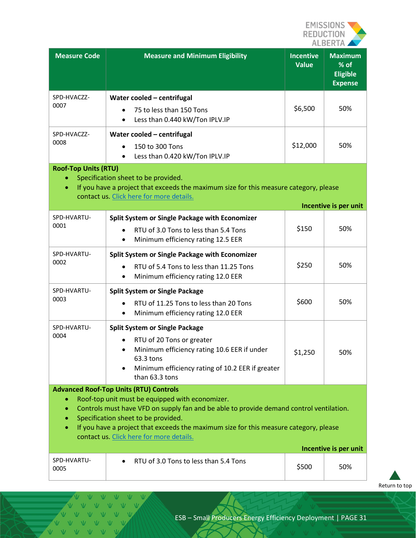

| <b>Measure Code</b>                                                                                                                                                                                                                                                                                                                                                                                                          | <b>Measure and Minimum Eligibility</b>                                                                                                                                                               | <b>Incentive</b><br><b>Value</b> | <b>Maximum</b><br>% of<br><b>Eligible</b><br><b>Expense</b> |
|------------------------------------------------------------------------------------------------------------------------------------------------------------------------------------------------------------------------------------------------------------------------------------------------------------------------------------------------------------------------------------------------------------------------------|------------------------------------------------------------------------------------------------------------------------------------------------------------------------------------------------------|----------------------------------|-------------------------------------------------------------|
| SPD-HVACZZ-<br>0007                                                                                                                                                                                                                                                                                                                                                                                                          | Water cooled - centrifugal<br>75 to less than 150 Tons<br>Less than 0.440 kW/Ton IPLV.IP<br>$\bullet$                                                                                                | \$6,500                          | 50%                                                         |
| SPD-HVACZZ-<br>0008                                                                                                                                                                                                                                                                                                                                                                                                          | Water cooled - centrifugal<br>150 to 300 Tons<br>Less than 0.420 kW/Ton IPLV.IP<br>$\bullet$                                                                                                         | \$12,000                         | 50%                                                         |
| <b>Roof-Top Units (RTU)</b><br>$\bullet$                                                                                                                                                                                                                                                                                                                                                                                     | Specification sheet to be provided.<br>If you have a project that exceeds the maximum size for this measure category, please<br>contact us. Click here for more details.                             |                                  | Incentive is per unit                                       |
| SPD-HVARTU-                                                                                                                                                                                                                                                                                                                                                                                                                  | Split System or Single Package with Economizer                                                                                                                                                       |                                  |                                                             |
| 0001                                                                                                                                                                                                                                                                                                                                                                                                                         | RTU of 3.0 Tons to less than 5.4 Tons<br>Minimum efficiency rating 12.5 EER<br>$\bullet$                                                                                                             | \$150                            | 50%                                                         |
| SPD-HVARTU-                                                                                                                                                                                                                                                                                                                                                                                                                  | Split System or Single Package with Economizer                                                                                                                                                       |                                  |                                                             |
| 0002                                                                                                                                                                                                                                                                                                                                                                                                                         | RTU of 5.4 Tons to less than 11.25 Tons<br>Minimum efficiency rating 12.0 EER<br>$\bullet$                                                                                                           | \$250                            | 50%                                                         |
| SPD-HVARTU-                                                                                                                                                                                                                                                                                                                                                                                                                  | <b>Split System or Single Package</b>                                                                                                                                                                |                                  |                                                             |
| 0003                                                                                                                                                                                                                                                                                                                                                                                                                         | RTU of 11.25 Tons to less than 20 Tons<br>Minimum efficiency rating 12.0 EER<br>$\bullet$                                                                                                            | \$600                            | 50%                                                         |
| SPD-HVARTU-<br>0004                                                                                                                                                                                                                                                                                                                                                                                                          | <b>Split System or Single Package</b><br>RTU of 20 Tons or greater<br>Minimum efficiency rating 10.6 EER if under<br>63.3 tons<br>Minimum efficiency rating of 10.2 EER if greater<br>than 63.3 tons | \$1,250                          | 50%                                                         |
| <b>Advanced Roof-Top Units (RTU) Controls</b><br>Roof-top unit must be equipped with economizer.<br>۰<br>Controls must have VFD on supply fan and be able to provide demand control ventilation.<br>٠<br>Specification sheet to be provided.<br>۰<br>If you have a project that exceeds the maximum size for this measure category, please<br>$\bullet$<br>contact us. Click here for more details.<br>Incentive is per unit |                                                                                                                                                                                                      |                                  |                                                             |
|                                                                                                                                                                                                                                                                                                                                                                                                                              |                                                                                                                                                                                                      |                                  |                                                             |
| SPD-HVARTU-<br>0005                                                                                                                                                                                                                                                                                                                                                                                                          | RTU of 3.0 Tons to less than 5.4 Tons                                                                                                                                                                | \$500                            | 50%                                                         |

[Return to top](#page-0-0)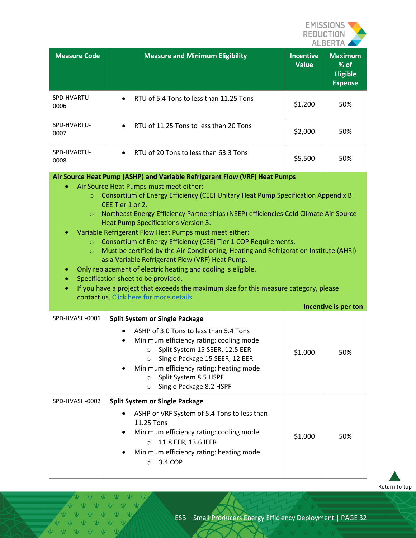

| <b>Measure Code</b> | <b>Measure and Minimum Eligibility</b>                                                                                                                                                                                                                                            | <b>Incentive</b><br><b>Value</b> | <b>Maximum</b><br>% of<br><b>Eligible</b><br><b>Expense</b> |
|---------------------|-----------------------------------------------------------------------------------------------------------------------------------------------------------------------------------------------------------------------------------------------------------------------------------|----------------------------------|-------------------------------------------------------------|
| SPD-HVARTU-<br>0006 | RTU of 5.4 Tons to less than 11.25 Tons                                                                                                                                                                                                                                           | \$1,200                          | 50%                                                         |
| SPD-HVARTU-<br>0007 | RTU of 11.25 Tons to less than 20 Tons                                                                                                                                                                                                                                            | \$2,000                          | 50%                                                         |
| SPD-HVARTU-<br>0008 | RTU of 20 Tons to less than 63.3 Tons<br>$\bullet$                                                                                                                                                                                                                                | \$5,500                          | 50%                                                         |
|                     | Air Source Heat Pump (ASHP) and Variable Refrigerant Flow (VRF) Heat Pumps<br>Air Source Heat Pumps must meet either:                                                                                                                                                             |                                  |                                                             |
| $\circ$             | Consortium of Energy Efficiency (CEE) Unitary Heat Pump Specification Appendix B<br>CEE Tier 1 or 2.                                                                                                                                                                              |                                  |                                                             |
| $\circ$             | Northeast Energy Efficiency Partnerships (NEEP) efficiencies Cold Climate Air-Source<br>Heat Pump Specifications Version 3.                                                                                                                                                       |                                  |                                                             |
|                     | Variable Refrigerant Flow Heat Pumps must meet either:                                                                                                                                                                                                                            |                                  |                                                             |
| $\circ$<br>$\circ$  | Consortium of Energy Efficiency (CEE) Tier 1 COP Requirements.<br>Must be certified by the Air-Conditioning, Heating and Refrigeration Institute (AHRI)                                                                                                                           |                                  |                                                             |
|                     | as a Variable Refrigerant Flow (VRF) Heat Pump.                                                                                                                                                                                                                                   |                                  |                                                             |
|                     | Only replacement of electric heating and cooling is eligible.<br>Specification sheet to be provided.                                                                                                                                                                              |                                  |                                                             |
|                     | If you have a project that exceeds the maximum size for this measure category, please                                                                                                                                                                                             |                                  |                                                             |
|                     | contact us. Click here for more details.                                                                                                                                                                                                                                          |                                  | Incentive is per ton                                        |
| SPD-HVASH-0001      | <b>Split System or Single Package</b>                                                                                                                                                                                                                                             |                                  |                                                             |
|                     | ASHP of 3.0 Tons to less than 5.4 Tons<br>Minimum efficiency rating: cooling mode<br>○ Split System 15 SEER, 12.5 EER<br>Single Package 15 SEER, 12 EER<br>$\circ$<br>Minimum efficiency rating: heating mode<br>Split System 8.5 HSPF<br>$\circ$<br>Single Package 8.2 HSPF<br>O | \$1,000                          | 50%                                                         |
| SPD-HVASH-0002      | <b>Split System or Single Package</b>                                                                                                                                                                                                                                             |                                  |                                                             |
|                     | ASHP or VRF System of 5.4 Tons to less than<br>11.25 Tons<br>Minimum efficiency rating: cooling mode<br>11.8 EER, 13.6 IEER<br>$\circ$<br>Minimum efficiency rating: heating mode<br>3.4 COP<br>$\circ$                                                                           | \$1,000                          | 50%                                                         |

[Return to top](#page-0-0)

 $\overline{\mathcal{M}}$  $N$  $\overline{V}$  $\overline{M}$ VVVVV VVVVVV VVVVVV VVVVV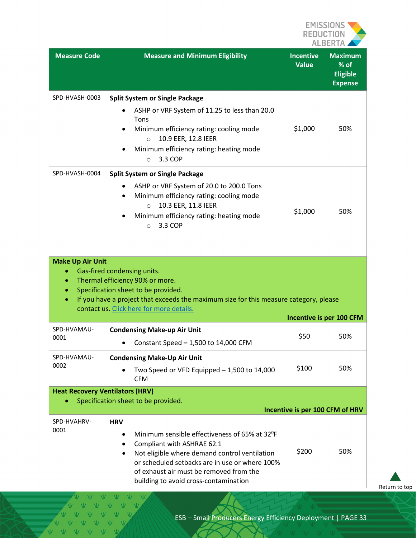

| <b>Measure Code</b>                                                           | <b>Measure and Minimum Eligibility</b>                                                                                                                                                                                                                                                                                  | <b>Incentive</b><br><b>Value</b> | <b>Maximum</b><br>% of<br><b>Eligible</b><br><b>Expense</b> |  |
|-------------------------------------------------------------------------------|-------------------------------------------------------------------------------------------------------------------------------------------------------------------------------------------------------------------------------------------------------------------------------------------------------------------------|----------------------------------|-------------------------------------------------------------|--|
| SPD-HVASH-0003                                                                | <b>Split System or Single Package</b><br>ASHP or VRF System of 11.25 to less than 20.0<br>Tons<br>Minimum efficiency rating: cooling mode<br>10.9 EER, 12.8 IEER<br>$\circ$<br>Minimum efficiency rating: heating mode<br>3.3 COP<br>$\circ$                                                                            | \$1,000                          | 50%                                                         |  |
| SPD-HVASH-0004                                                                | <b>Split System or Single Package</b><br>ASHP or VRF System of 20.0 to 200.0 Tons<br>Minimum efficiency rating: cooling mode<br>10.3 EER, 11.8 IEER<br>$\circ$<br>Minimum efficiency rating: heating mode<br>3.3 COP<br>$\circ$                                                                                         | \$1,000                          | 50%                                                         |  |
| <b>Make Up Air Unit</b>                                                       | Gas-fired condensing units.<br>Thermal efficiency 90% or more.<br>Specification sheet to be provided.<br>If you have a project that exceeds the maximum size for this measure category, please<br>contact us. Click here for more details.                                                                              |                                  |                                                             |  |
|                                                                               |                                                                                                                                                                                                                                                                                                                         |                                  | Incentive is per 100 CFM                                    |  |
| SPD-HVAMAU-<br>0001                                                           | <b>Condensing Make-up Air Unit</b><br>Constant Speed $-1,500$ to 14,000 CFM                                                                                                                                                                                                                                             | \$50                             | 50%                                                         |  |
| SPD-HVAMAU-<br>0002                                                           | <b>Condensing Make-Up Air Unit</b><br>Two Speed or VFD Equipped - 1,500 to 14,000<br><b>CFM</b>                                                                                                                                                                                                                         | \$100                            | 50%                                                         |  |
| <b>Heat Recovery Ventilators (HRV)</b><br>Specification sheet to be provided. |                                                                                                                                                                                                                                                                                                                         |                                  |                                                             |  |
|                                                                               |                                                                                                                                                                                                                                                                                                                         |                                  | Incentive is per 100 CFM of HRV                             |  |
| SPD-HVAHRV-<br>0001                                                           | <b>HRV</b><br>Minimum sensible effectiveness of 65% at 32 <sup>o</sup> F<br>Compliant with ASHRAE 62.1<br>$\bullet$<br>Not eligible where demand control ventilation<br>$\bullet$<br>or scheduled setbacks are in use or where 100%<br>of exhaust air must be removed from the<br>building to avoid cross-contamination | \$200                            | 50%                                                         |  |

 $\overline{M}$  $\overline{V}$  $\overline{M}$ VVVVV VVVVVV V V V V V V VVVVV

ESB – Small Producers Energy Efficiency Deployment | PAGE 33

[Return to top](#page-0-0)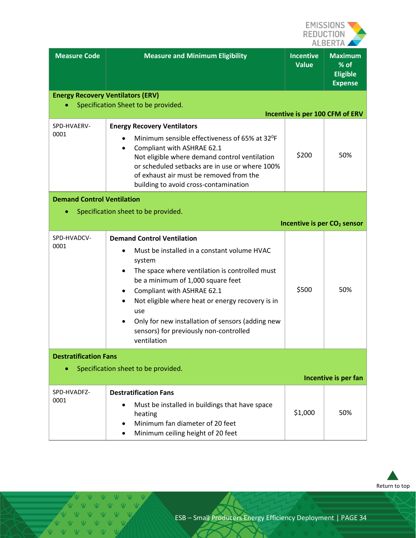

| <b>Measure Code</b>                                                                         | <b>Measure and Minimum Eligibility</b>                                                                                                                                                                                                                                                                                                                                                               | <b>Incentive</b><br><b>Value</b> | <b>Maximum</b><br>% of<br><b>Eligible</b><br><b>Expense</b> |  |
|---------------------------------------------------------------------------------------------|------------------------------------------------------------------------------------------------------------------------------------------------------------------------------------------------------------------------------------------------------------------------------------------------------------------------------------------------------------------------------------------------------|----------------------------------|-------------------------------------------------------------|--|
| <b>Energy Recovery Ventilators (ERV)</b>                                                    | Specification Sheet to be provided.                                                                                                                                                                                                                                                                                                                                                                  |                                  |                                                             |  |
|                                                                                             |                                                                                                                                                                                                                                                                                                                                                                                                      |                                  | Incentive is per 100 CFM of ERV                             |  |
| SPD-HVAERV-<br>0001                                                                         | <b>Energy Recovery Ventilators</b><br>Minimum sensible effectiveness of 65% at 32 <sup>o</sup> F<br>Compliant with ASHRAE 62.1<br>Not eligible where demand control ventilation<br>or scheduled setbacks are in use or where 100%<br>of exhaust air must be removed from the<br>building to avoid cross-contamination                                                                                | \$200                            | 50%                                                         |  |
| <b>Demand Control Ventilation</b>                                                           |                                                                                                                                                                                                                                                                                                                                                                                                      |                                  |                                                             |  |
|                                                                                             | Specification sheet to be provided.                                                                                                                                                                                                                                                                                                                                                                  |                                  | Incentive is per CO <sub>2</sub> sensor                     |  |
| SPD-HVADCV-<br>0001                                                                         | <b>Demand Control Ventilation</b><br>Must be installed in a constant volume HVAC<br>system<br>The space where ventilation is controlled must<br>be a minimum of 1,000 square feet<br>Compliant with ASHRAE 62.1<br>Not eligible where heat or energy recovery is in<br>use<br>Only for new installation of sensors (adding new<br>$\bullet$<br>sensors) for previously non-controlled<br>ventilation | \$500                            | 50%                                                         |  |
| <b>Destratification Fans</b><br>Specification sheet to be provided.<br>Incentive is per fan |                                                                                                                                                                                                                                                                                                                                                                                                      |                                  |                                                             |  |
| SPD-HVADFZ-<br>0001                                                                         | <b>Destratification Fans</b><br>Must be installed in buildings that have space<br>heating<br>Minimum fan diameter of 20 feet<br>Minimum ceiling height of 20 feet                                                                                                                                                                                                                                    | \$1,000                          | 50%                                                         |  |



 $\overline{M}$  $\overline{V}$  $\overline{M}$ VVVVVV VVVVVV V V V V V VVVVVV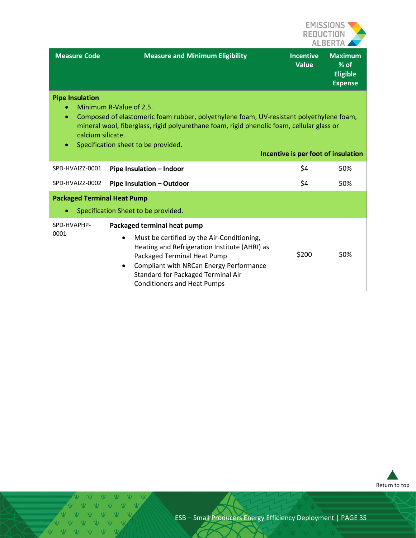

| <b>Measure Code</b>                 | <b>Measure and Minimum Eligibility</b>                                                                             | <b>Incentive</b><br><b>Value</b> | <b>Maximum</b><br>$%$ of<br><b>Eligible</b><br><b>Expense</b> |
|-------------------------------------|--------------------------------------------------------------------------------------------------------------------|----------------------------------|---------------------------------------------------------------|
| <b>Pipe Insulation</b><br>$\bullet$ | Minimum R-Value of 2.5.<br>Composed of elastomeric foam rubber, polyethylene foam, UV-resistant polyethylene foam, |                                  |                                                               |

- mineral wool, fiberglass, rigid polyurethane foam, rigid phenolic foam, cellular glass or calcium silicate.
- Specification sheet to be provided.

|                                    |                                                                                                                                                                                                                                                                                                            |       | Incentive is per foot of insulation |
|------------------------------------|------------------------------------------------------------------------------------------------------------------------------------------------------------------------------------------------------------------------------------------------------------------------------------------------------------|-------|-------------------------------------|
| SPD-HVAIZZ-0001                    | Pipe Insulation – Indoor                                                                                                                                                                                                                                                                                   | \$4   | 50%                                 |
| SPD-HVAIZZ-0002                    | Pipe Insulation - Outdoor                                                                                                                                                                                                                                                                                  | \$4   | 50%                                 |
| <b>Packaged Terminal Heat Pump</b> |                                                                                                                                                                                                                                                                                                            |       |                                     |
| $\bullet$                          | Specification Sheet to be provided.                                                                                                                                                                                                                                                                        |       |                                     |
| SPD-HVAPHP-<br>0001                | Packaged terminal heat pump<br>Must be certified by the Air-Conditioning,<br>$\bullet$<br>Heating and Refrigeration Institute (AHRI) as<br>Packaged Terminal Heat Pump<br>Compliant with NRCan Energy Performance<br>$\bullet$<br>Standard for Packaged Terminal Air<br><b>Conditioners and Heat Pumps</b> | \$200 | 50%                                 |



V V V V V V V V V V V V V V

V V V V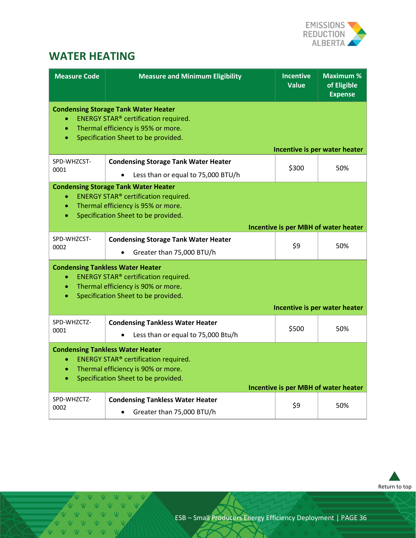

# <span id="page-35-0"></span>**WATER HEATING**

| <b>Measure Code</b>                 | <b>Measure and Minimum Eligibility</b>                                                                                                                                         | <b>Incentive</b><br><b>Value</b>            | <b>Maximum%</b><br>of Eligible<br><b>Expense</b> |
|-------------------------------------|--------------------------------------------------------------------------------------------------------------------------------------------------------------------------------|---------------------------------------------|--------------------------------------------------|
| $\bullet$<br>$\bullet$              | <b>Condensing Storage Tank Water Heater</b><br><b>ENERGY STAR®</b> certification required.<br>Thermal efficiency is 95% or more.<br>Specification Sheet to be provided.        |                                             | Incentive is per water heater                    |
| SPD-WHZCST-<br>0001                 | <b>Condensing Storage Tank Water Heater</b><br>Less than or equal to 75,000 BTU/h                                                                                              | \$300                                       | 50%                                              |
| $\bullet$<br>$\bullet$<br>$\bullet$ | <b>Condensing Storage Tank Water Heater</b><br><b>ENERGY STAR®</b> certification required.<br>Thermal efficiency is 95% or more.<br>Specification Sheet to be provided.        | Incentive is per MBH of water heater        |                                                  |
| SPD-WHZCST-<br>0002                 | <b>Condensing Storage Tank Water Heater</b><br>Greater than 75,000 BTU/h                                                                                                       | \$9                                         | 50%                                              |
| $\bullet$<br>$\bullet$<br>$\bullet$ | <b>Condensing Tankless Water Heater</b><br><b>ENERGY STAR<sup>®</sup></b> certification required.<br>Thermal efficiency is 90% or more.<br>Specification Sheet to be provided. |                                             |                                                  |
|                                     |                                                                                                                                                                                |                                             | Incentive is per water heater                    |
| SPD-WHZCTZ-<br>0001                 | <b>Condensing Tankless Water Heater</b><br>Less than or equal to 75,000 Btu/h                                                                                                  | \$500                                       | 50%                                              |
| $\bullet$<br>$\bullet$              | <b>Condensing Tankless Water Heater</b><br><b>ENERGY STAR® certification required.</b><br>Thermal efficiency is 90% or more.<br>Specification Sheet to be provided.            | <b>Incentive is per MBH of water heater</b> |                                                  |
| SPD-WHZCTZ-<br>0002                 | <b>Condensing Tankless Water Heater</b><br>Greater than 75,000 BTU/h                                                                                                           | \$9                                         | 50%                                              |



V V V V V VVVVVV V V V V V VVVVVV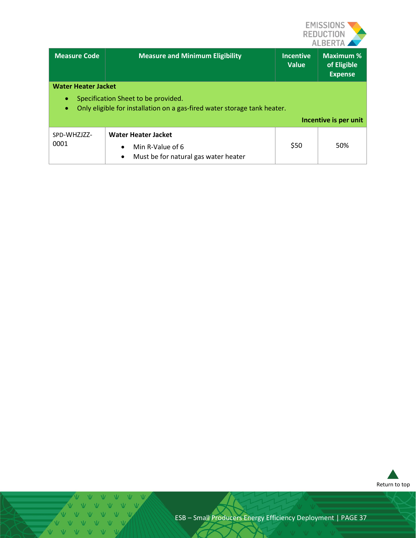

| <b>Measure Code</b>                                                                                                                                                | <b>Measure and Minimum Eligibility</b>                                                                           | <b>Incentive</b><br><b>Value</b> | <b>Maximum %</b><br>of Eligible<br><b>Expense</b> |  |
|--------------------------------------------------------------------------------------------------------------------------------------------------------------------|------------------------------------------------------------------------------------------------------------------|----------------------------------|---------------------------------------------------|--|
| <b>Water Heater Jacket</b>                                                                                                                                         |                                                                                                                  |                                  |                                                   |  |
| Specification Sheet to be provided.<br>$\bullet$<br>Only eligible for installation on a gas-fired water storage tank heater.<br>$\bullet$<br>Incentive is per unit |                                                                                                                  |                                  |                                                   |  |
| SPD-WHZJZZ-<br>0001                                                                                                                                                | <b>Water Heater Jacket</b><br>Min R-Value of 6<br>$\bullet$<br>Must be for natural gas water heater<br>$\bullet$ | \$50                             | 50%                                               |  |



 $V$   $V$   $V$ V V V V V V V V V V V V V V V V VVVV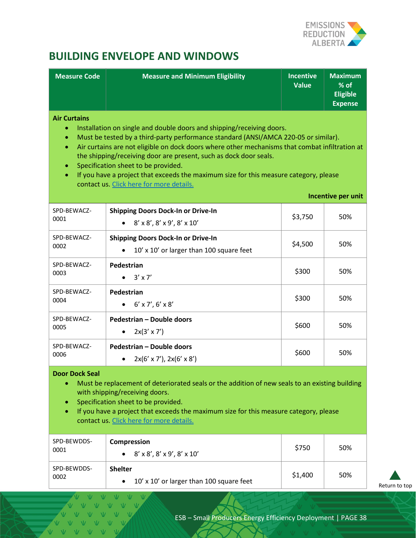

# <span id="page-37-0"></span>**BUILDING ENVELOPE AND WINDOWS**

| <b>Measure Code</b>                                                                                                                                                                                                                                                                                                                                                                                                                                                                                                                                                                        | <b>Measure and Minimum Eligibility</b>                                                             | <b>Incentive</b><br><b>Value</b> | <b>Maximum</b><br>% of<br><b>Eligible</b><br><b>Expense</b> |  |
|--------------------------------------------------------------------------------------------------------------------------------------------------------------------------------------------------------------------------------------------------------------------------------------------------------------------------------------------------------------------------------------------------------------------------------------------------------------------------------------------------------------------------------------------------------------------------------------------|----------------------------------------------------------------------------------------------------|----------------------------------|-------------------------------------------------------------|--|
| <b>Air Curtains</b><br>Installation on single and double doors and shipping/receiving doors.<br>Must be tested by a third-party performance standard (ANSI/AMCA 220-05 or similar).<br>$\bullet$<br>Air curtains are not eligible on dock doors where other mechanisms that combat infiltration at<br>$\bullet$<br>the shipping/receiving door are present, such as dock door seals.<br>Specification sheet to be provided.<br>$\bullet$<br>If you have a project that exceeds the maximum size for this measure category, please<br>$\bullet$<br>contact us. Click here for more details. |                                                                                                    |                                  |                                                             |  |
| SPD-BEWACZ-                                                                                                                                                                                                                                                                                                                                                                                                                                                                                                                                                                                | <b>Shipping Doors Dock-In or Drive-In</b>                                                          |                                  | Incentive per unit                                          |  |
| 0001                                                                                                                                                                                                                                                                                                                                                                                                                                                                                                                                                                                       | $8' \times 8'$ , $8' \times 9'$ , $8' \times 10'$                                                  | \$3,750                          | 50%                                                         |  |
| SPD-BEWACZ-<br>0002                                                                                                                                                                                                                                                                                                                                                                                                                                                                                                                                                                        | <b>Shipping Doors Dock-In or Drive-In</b><br>10' x 10' or larger than 100 square feet<br>$\bullet$ | \$4,500                          | 50%                                                         |  |
| SPD-BEWACZ-<br>0003                                                                                                                                                                                                                                                                                                                                                                                                                                                                                                                                                                        | Pedestrian<br>$3' \times 7'$                                                                       | \$300                            | 50%                                                         |  |
| SPD-BEWACZ-<br>0004                                                                                                                                                                                                                                                                                                                                                                                                                                                                                                                                                                        | Pedestrian<br>$6' \times 7'$ , $6' \times 8'$                                                      | \$300                            | 50%                                                         |  |
| SPD-BEWACZ-<br>0005                                                                                                                                                                                                                                                                                                                                                                                                                                                                                                                                                                        | Pedestrian - Double doors<br>$2x(3' \times 7')$<br>$\bullet$                                       | \$600                            | 50%                                                         |  |
| SPD-BEWACZ-<br>0006                                                                                                                                                                                                                                                                                                                                                                                                                                                                                                                                                                        | Pedestrian - Double doors<br>$2x(6' \times 7')$ , $2x(6' \times 8')$                               | \$600                            | 50%                                                         |  |
| <b>Door Dock Seal</b><br>Must be replacement of deteriorated seals or the addition of new seals to an existing building<br>۰<br>with shipping/receiving doors.<br>Specification sheet to be provided.<br>If you have a project that exceeds the maximum size for this measure category, please<br>contact us. Click here for more details.                                                                                                                                                                                                                                                 |                                                                                                    |                                  |                                                             |  |
| SPD-BEWDDS-<br>0001                                                                                                                                                                                                                                                                                                                                                                                                                                                                                                                                                                        | Compression<br>$8' \times 8'$ , $8' \times 9'$ , $8' \times 10'$                                   | \$750                            | 50%                                                         |  |
| SPD-BEWDDS-<br>0002                                                                                                                                                                                                                                                                                                                                                                                                                                                                                                                                                                        | <b>Shelter</b><br>10' x 10' or larger than 100 square feet                                         | \$1,400                          | 50%                                                         |  |

 $V - V$ 

V V V V

[Return to top](#page-0-0)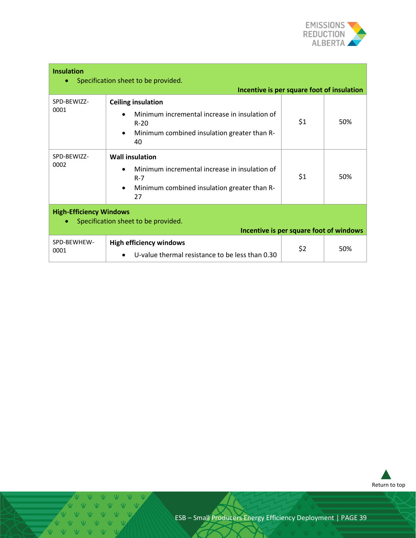

#### **Insulation**

• Specification sheet to be provided.

|                                                                                                                  | Incentive is per square foot of insulation                                                                                                                          |     |     |
|------------------------------------------------------------------------------------------------------------------|---------------------------------------------------------------------------------------------------------------------------------------------------------------------|-----|-----|
| SPD-BEWIZZ-<br>0001                                                                                              | <b>Ceiling insulation</b><br>Minimum incremental increase in insulation of<br>$\bullet$<br>$R-20$<br>Minimum combined insulation greater than R-<br>$\bullet$<br>40 | \$1 | 50% |
| SPD-BEWIZZ-<br>0002                                                                                              | <b>Wall insulation</b><br>Minimum incremental increase in insulation of<br>$\bullet$<br>$R - 7$<br>Minimum combined insulation greater than R-<br>$\bullet$<br>27   | \$1 | 50% |
| <b>High-Efficiency Windows</b><br>Specification sheet to be provided.<br>Incentive is per square foot of windows |                                                                                                                                                                     |     |     |
| SPD-BEWHEW-<br>0001                                                                                              | <b>High efficiency windows</b><br>U-value thermal resistance to be less than 0.30<br>$\bullet$                                                                      | \$2 | 50% |



 $\overline{M}$ V V V V V V V V V V V V V V V V V VVVVVV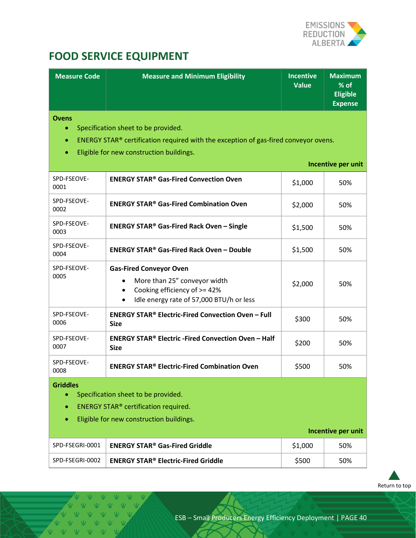

# <span id="page-39-0"></span>**FOOD SERVICE EQUIPMENT**

| <b>Measure Code</b>                                                                                                                                                                                                                                 | <b>Measure and Minimum Eligibility</b>                                                                                                                               | <b>Incentive</b><br><b>Value</b> | <b>Maximum</b><br>% of<br><b>Eligible</b><br><b>Expense</b> |
|-----------------------------------------------------------------------------------------------------------------------------------------------------------------------------------------------------------------------------------------------------|----------------------------------------------------------------------------------------------------------------------------------------------------------------------|----------------------------------|-------------------------------------------------------------|
| <b>Ovens</b><br>Specification sheet to be provided.<br>$\bullet$<br>ENERGY STAR® certification required with the exception of gas-fired conveyor ovens.<br>$\bullet$<br>Eligible for new construction buildings.<br>$\bullet$<br>Incentive per unit |                                                                                                                                                                      |                                  |                                                             |
| SPD-FSEOVE-<br>0001                                                                                                                                                                                                                                 | <b>ENERGY STAR<sup>®</sup> Gas-Fired Convection Oven</b>                                                                                                             | \$1,000                          | 50%                                                         |
| SPD-FSEOVE-<br>0002                                                                                                                                                                                                                                 | <b>ENERGY STAR<sup>®</sup> Gas-Fired Combination Oven</b>                                                                                                            | \$2,000                          | 50%                                                         |
| SPD-FSEOVE-<br>0003                                                                                                                                                                                                                                 | <b>ENERGY STAR® Gas-Fired Rack Oven - Single</b>                                                                                                                     | \$1,500                          | 50%                                                         |
| SPD-FSEOVE-<br>0004                                                                                                                                                                                                                                 | <b>ENERGY STAR<sup>®</sup> Gas-Fired Rack Oven - Double</b>                                                                                                          | \$1,500                          | 50%                                                         |
| SPD-FSEOVE-<br>0005                                                                                                                                                                                                                                 | <b>Gas-Fired Conveyor Oven</b><br>More than 25" conveyor width<br>Cooking efficiency of >= 42%<br>$\bullet$<br>Idle energy rate of 57,000 BTU/h or less<br>$\bullet$ | \$2,000                          | 50%                                                         |
| SPD-FSEOVE-<br>0006                                                                                                                                                                                                                                 | <b>ENERGY STAR<sup>®</sup> Electric-Fired Convection Oven - Full</b><br><b>Size</b>                                                                                  | \$300                            | 50%                                                         |
| SPD-FSEOVE-<br>0007                                                                                                                                                                                                                                 | <b>ENERGY STAR<sup>®</sup> Electric -Fired Convection Oven - Half</b><br><b>Size</b>                                                                                 | \$200                            | 50%                                                         |
| SPD-FSEOVE-<br>0008                                                                                                                                                                                                                                 | <b>ENERGY STAR<sup>®</sup> Electric-Fired Combination Oven</b>                                                                                                       | \$500                            | 50%                                                         |
| <b>Griddles</b><br>Specification sheet to be provided.<br>ENERGY STAR® certification required.<br>Eligible for new construction buildings.<br>Incentive per unit                                                                                    |                                                                                                                                                                      |                                  |                                                             |
| SPD-FSEGRI-0001                                                                                                                                                                                                                                     | <b>ENERGY STAR<sup>®</sup> Gas-Fired Griddle</b>                                                                                                                     | \$1,000                          | 50%                                                         |
| SPD-FSEGRI-0002                                                                                                                                                                                                                                     | <b>ENERGY STAR® Electric-Fired Griddle</b>                                                                                                                           | \$500                            | 50%                                                         |



 $V = W - W$  $V = V - V$ VVVV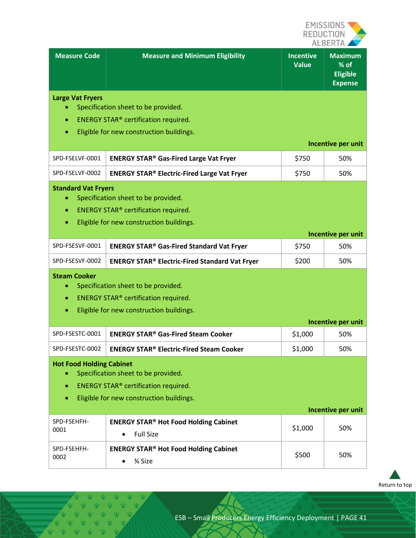

|                                                                                                                                                                                             |                                                                                                                         |                                  | ALBERTA                                                     |
|---------------------------------------------------------------------------------------------------------------------------------------------------------------------------------------------|-------------------------------------------------------------------------------------------------------------------------|----------------------------------|-------------------------------------------------------------|
| <b>Measure Code</b>                                                                                                                                                                         | <b>Measure and Minimum Eligibility</b>                                                                                  | <b>Incentive</b><br><b>Value</b> | <b>Maximum</b><br>% of<br><b>Eligible</b><br><b>Expense</b> |
| <b>Large Vat Fryers</b><br>Specification sheet to be provided.<br>ENERGY STAR® certification required.<br>Eligible for new construction buildings.<br>Incentive per unit                    |                                                                                                                         |                                  |                                                             |
| SPD-FSELVF-0001                                                                                                                                                                             | <b>ENERGY STAR® Gas-Fired Large Vat Fryer</b>                                                                           | \$750                            | 50%                                                         |
| SPD-FSELVF-0002                                                                                                                                                                             | <b>ENERGY STAR® Electric-Fired Large Vat Fryer</b>                                                                      | \$750                            | 50%                                                         |
| <b>Standard Vat Fryers</b><br>Specification sheet to be provided.<br>۰<br><b>ENERGY STAR® certification required.</b><br>$\bullet$<br>Eligible for new construction buildings.<br>$\bullet$ |                                                                                                                         |                                  |                                                             |
|                                                                                                                                                                                             |                                                                                                                         |                                  | Incentive per unit                                          |
| SPD-FSESVF-0001                                                                                                                                                                             | <b>ENERGY STAR® Gas-Fired Standard Vat Fryer</b>                                                                        | \$750                            | 50%                                                         |
| SPD-FSESVF-0002                                                                                                                                                                             | <b>ENERGY STAR® Electric-Fired Standard Vat Fryer</b>                                                                   | \$200                            | 50%                                                         |
| <b>Steam Cooker</b><br>Specification sheet to be provided.<br>ENERGY STAR® certification required.<br>$\bullet$<br>Eligible for new construction buildings.<br>۰                            |                                                                                                                         |                                  |                                                             |
|                                                                                                                                                                                             |                                                                                                                         |                                  | Incentive per unit                                          |
| SPD-FSESTC-0001                                                                                                                                                                             | <b>ENERGY STAR<sup>®</sup> Gas-Fired Steam Cooker</b>                                                                   | \$1,000                          | 50%                                                         |
| SPD-FSESTC-0002                                                                                                                                                                             | <b>ENERGY STAR<sup>®</sup> Electric-Fired Steam Cooker</b>                                                              | \$1,000                          | 50%                                                         |
| <b>Hot Food Holding Cabinet</b><br>$\bullet$<br>$\bullet$                                                                                                                                   | Specification sheet to be provided.<br>ENERGY STAR® certification required.<br>Eligible for new construction buildings. |                                  |                                                             |
|                                                                                                                                                                                             |                                                                                                                         |                                  | Incentive per unit                                          |
| SPD-FSEHFH-<br>0001                                                                                                                                                                         | <b>ENERGY STAR® Hot Food Holding Cabinet</b><br><b>Full Size</b>                                                        | \$1,000                          | 50%                                                         |
| SPD-FSEHFH-<br>0002                                                                                                                                                                         | <b>ENERGY STAR® Hot Food Holding Cabinet</b><br>3⁄4 Size<br>$\bullet$                                                   | \$500                            | 50%                                                         |



 $\overline{\mathcal{M}}$  $\overline{V}$  $\overline{V}$ VVVVV VVVVVV V V V V V V VVVVV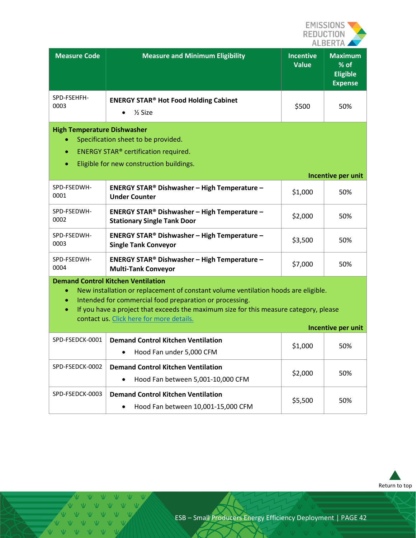

| <b>Measure Code</b>                                                                                                                                                                                                                                                                                                                                                    | <b>Measure and Minimum Eligibility</b>                                                      | <b>Incentive</b><br><b>Value</b> | <b>Maximum</b><br>% of<br><b>Eligible</b><br><b>Expense</b> |
|------------------------------------------------------------------------------------------------------------------------------------------------------------------------------------------------------------------------------------------------------------------------------------------------------------------------------------------------------------------------|---------------------------------------------------------------------------------------------|----------------------------------|-------------------------------------------------------------|
| SPD-FSEHFH-<br>0003                                                                                                                                                                                                                                                                                                                                                    | <b>ENERGY STAR® Hot Food Holding Cabinet</b><br>1/ <sub>2</sub> Size                        | \$500                            | 50%                                                         |
| <b>High Temperature Dishwasher</b><br>Specification sheet to be provided.<br>ENERGY STAR® certification required.<br>$\bullet$<br>Eligible for new construction buildings.<br>$\bullet$                                                                                                                                                                                |                                                                                             |                                  |                                                             |
|                                                                                                                                                                                                                                                                                                                                                                        |                                                                                             |                                  | Incentive per unit                                          |
| SPD-FSEDWH-<br>0001                                                                                                                                                                                                                                                                                                                                                    | <b>ENERGY STAR® Dishwasher - High Temperature -</b><br><b>Under Counter</b>                 | \$1,000                          | 50%                                                         |
| SPD-FSEDWH-<br>0002                                                                                                                                                                                                                                                                                                                                                    | <b>ENERGY STAR® Dishwasher - High Temperature -</b><br><b>Stationary Single Tank Door</b>   | \$2,000                          | 50%                                                         |
| SPD-FSEDWH-<br>0003                                                                                                                                                                                                                                                                                                                                                    | <b>ENERGY STAR® Dishwasher - High Temperature -</b><br><b>Single Tank Conveyor</b>          | \$3,500                          | 50%                                                         |
| SPD-FSEDWH-<br>0004                                                                                                                                                                                                                                                                                                                                                    | <b>ENERGY STAR® Dishwasher - High Temperature -</b><br><b>Multi-Tank Conveyor</b>           | \$7,000                          | 50%                                                         |
| <b>Demand Control Kitchen Ventilation</b><br>New installation or replacement of constant volume ventilation hoods are eligible.<br>$\bullet$<br>Intended for commercial food preparation or processing.<br>$\bullet$<br>If you have a project that exceeds the maximum size for this measure category, please<br>$\bullet$<br>contact us. Click here for more details. |                                                                                             |                                  |                                                             |
| SPD-FSEDCK-0001                                                                                                                                                                                                                                                                                                                                                        |                                                                                             |                                  | Incentive per unit                                          |
|                                                                                                                                                                                                                                                                                                                                                                        | <b>Demand Control Kitchen Ventilation</b><br>Hood Fan under 5,000 CFM                       | \$1,000                          | 50%                                                         |
| SPD-FSEDCK-0002                                                                                                                                                                                                                                                                                                                                                        | <b>Demand Control Kitchen Ventilation</b><br>Hood Fan between 5,001-10,000 CFM<br>$\bullet$ | \$2,000                          | 50%                                                         |
| SPD-FSEDCK-0003                                                                                                                                                                                                                                                                                                                                                        | <b>Demand Control Kitchen Ventilation</b><br>Hood Fan between 10,001-15,000 CFM             | \$5,500                          | 50%                                                         |



VVVVV VVVVVV V V V V V VVVVV